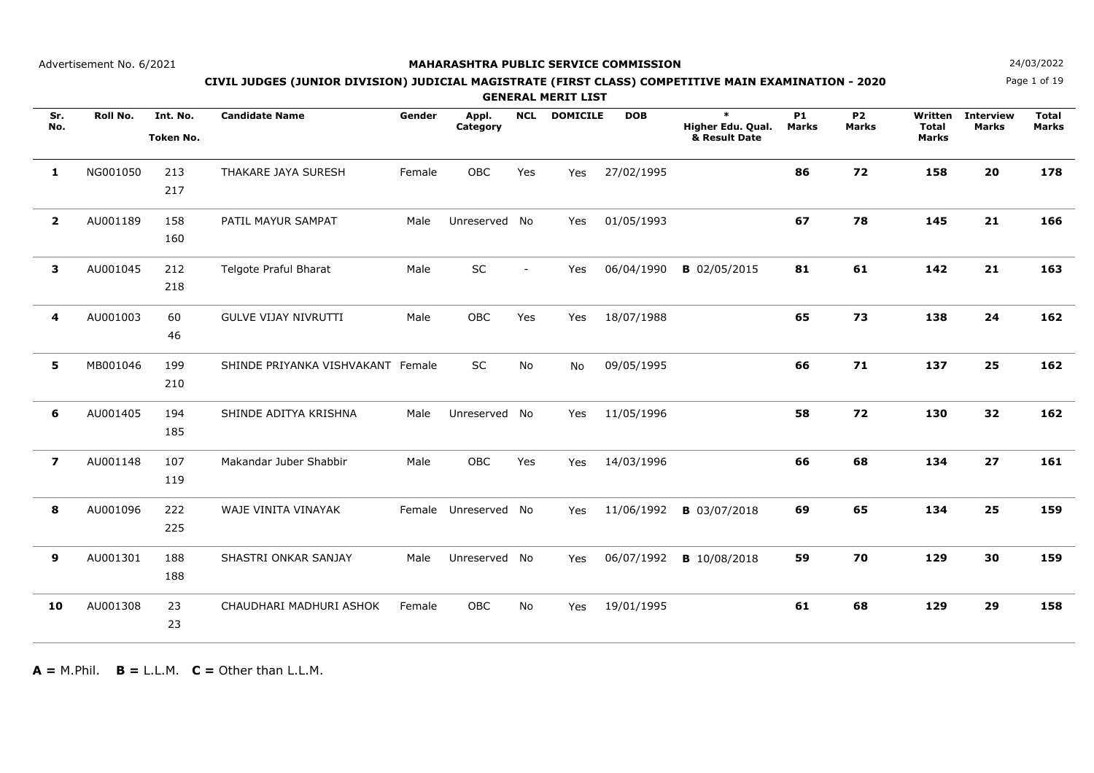## **MAHARASHTRA PUBLIC SERVICE COMMISSION**

Page 1 of 19

# **N**  $24/03/2022$ **CIVIL JUDGES (JUNIOR DIVISION) JUDICIAL MAGISTRATE (FIRST CLASS) COMPETITIVE MAIN EXAMINATION - 2020**

**GENERAL MERIT LIST**

| Sr.<br>No.     | Roll No. | Int. No.<br><b>Token No.</b> | <b>Candidate Name</b>             | Gender | Appl.<br>Category    | <b>NCL</b>     | <b>DOMICILE</b> | <b>DOB</b> | $\ast$<br>Higher Edu. Qual.<br>& Result Date | <b>P1</b><br><b>Marks</b> | <b>P2</b><br><b>Marks</b> | Written<br><b>Total</b><br>Marks | <b>Interview</b><br><b>Marks</b> | <b>Total</b><br><b>Marks</b> |
|----------------|----------|------------------------------|-----------------------------------|--------|----------------------|----------------|-----------------|------------|----------------------------------------------|---------------------------|---------------------------|----------------------------------|----------------------------------|------------------------------|
| 1              | NG001050 | 213<br>217                   | THAKARE JAYA SURESH               | Female | OBC                  | Yes            | Yes             | 27/02/1995 |                                              | 86                        | 72                        | 158                              | 20                               | 178                          |
| $\overline{2}$ | AU001189 | 158<br>160                   | PATIL MAYUR SAMPAT                | Male   | Unreserved No        |                | Yes             | 01/05/1993 |                                              | 67                        | 78                        | 145                              | 21                               | 166                          |
| 3              | AU001045 | 212<br>218                   | Telgote Praful Bharat             | Male   | SC                   | $\overline{a}$ | Yes             | 06/04/1990 | <b>B</b> 02/05/2015                          | 81                        | 61                        | 142                              | 21                               | 163                          |
| 4              | AU001003 | 60<br>46                     | <b>GULVE VIJAY NIVRUTTI</b>       | Male   | OBC                  | Yes            | Yes             | 18/07/1988 |                                              | 65                        | 73                        | 138                              | 24                               | 162                          |
| 5              | MB001046 | 199<br>210                   | SHINDE PRIYANKA VISHVAKANT Female |        | SC                   | No             | <b>No</b>       | 09/05/1995 |                                              | 66                        | 71                        | 137                              | 25                               | 162                          |
| 6              | AU001405 | 194<br>185                   | SHINDE ADITYA KRISHNA             | Male   | Unreserved No        |                | Yes             | 11/05/1996 |                                              | 58                        | 72                        | 130                              | 32                               | 162                          |
| $\overline{z}$ | AU001148 | 107<br>119                   | Makandar Juber Shabbir            | Male   | <b>OBC</b>           | Yes            | Yes             | 14/03/1996 |                                              | 66                        | 68                        | 134                              | 27                               | 161                          |
| 8              | AU001096 | 222<br>225                   | WAJE VINITA VINAYAK               |        | Female Unreserved No |                | Yes             | 11/06/1992 | <b>B</b> 03/07/2018                          | 69                        | 65                        | 134                              | 25                               | 159                          |
| 9              | AU001301 | 188<br>188                   | SHASTRI ONKAR SANJAY              | Male   | Unreserved No        |                | Yes             | 06/07/1992 | <b>B</b> 10/08/2018                          | 59                        | 70                        | 129                              | 30                               | 159                          |
| 10             | AU001308 | 23<br>23                     | CHAUDHARI MADHURI ASHOK           | Female | OBC                  | No             | Yes             | 19/01/1995 |                                              | 61                        | 68                        | 129                              | 29                               | 158                          |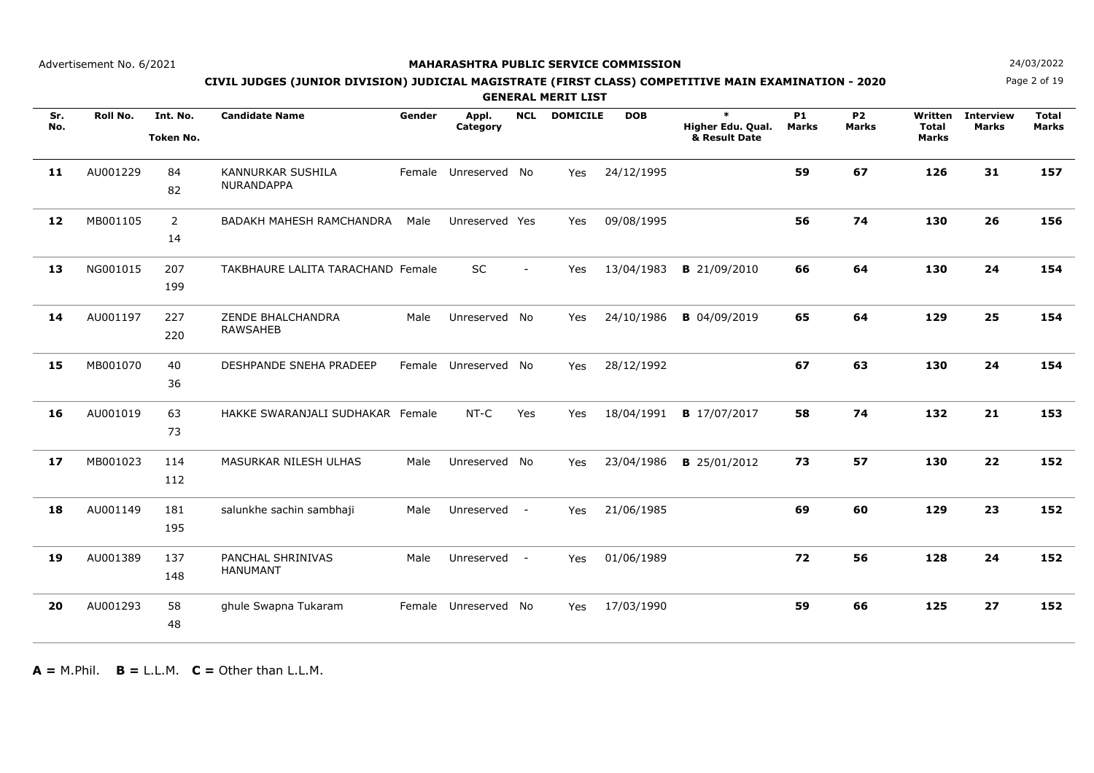## **MAHARASHTRA PUBLIC SERVICE COMMISSION**

Page 2 of 19

# **N**  $24/03/2022$ **CIVIL JUDGES (JUNIOR DIVISION) JUDICIAL MAGISTRATE (FIRST CLASS) COMPETITIVE MAIN EXAMINATION - 2020**

**GENERAL MERIT LIST**

| Sr.<br>No. | Roll No. | Int. No.<br><b>Token No.</b> | <b>Candidate Name</b>                  | Gender | Appl.<br>Category    | <b>NCL</b>     | <b>DOMICILE</b> | <b>DOB</b> | $\ast$<br>Higher Edu. Qual.<br>& Result Date | <b>P1</b><br><b>Marks</b> | <b>P2</b><br><b>Marks</b> | Written<br><b>Total</b><br><b>Marks</b> | <b>Interview</b><br><b>Marks</b> | <b>Total</b><br><b>Marks</b> |
|------------|----------|------------------------------|----------------------------------------|--------|----------------------|----------------|-----------------|------------|----------------------------------------------|---------------------------|---------------------------|-----------------------------------------|----------------------------------|------------------------------|
| 11         | AU001229 | 84<br>82                     | KANNURKAR SUSHILA<br><b>NURANDAPPA</b> |        | Female Unreserved No |                | Yes             | 24/12/1995 |                                              | 59                        | 67                        | 126                                     | 31                               | 157                          |
| 12         | MB001105 | $\overline{2}$<br>14         | BADAKH MAHESH RAMCHANDRA               | Male   | Unreserved Yes       |                | Yes             | 09/08/1995 |                                              | 56                        | 74                        | 130                                     | 26                               | 156                          |
| 13         | NG001015 | 207<br>199                   | TAKBHAURE LALITA TARACHAND Female      |        | <b>SC</b>            | $\blacksquare$ | Yes             | 13/04/1983 | <b>B</b> 21/09/2010                          | 66                        | 64                        | 130                                     | 24                               | 154                          |
| 14         | AU001197 | 227<br>220                   | ZENDE BHALCHANDRA<br><b>RAWSAHEB</b>   | Male   | Unreserved No        |                | Yes             | 24/10/1986 | <b>B</b> 04/09/2019                          | 65                        | 64                        | 129                                     | 25                               | 154                          |
| 15         | MB001070 | 40<br>36                     | DESHPANDE SNEHA PRADEEP                |        | Female Unreserved No |                | Yes             | 28/12/1992 |                                              | 67                        | 63                        | 130                                     | 24                               | 154                          |
| 16         | AU001019 | 63<br>73                     | HAKKE SWARANJALI SUDHAKAR Female       |        | $NT-C$               | Yes            | Yes             | 18/04/1991 | <b>B</b> 17/07/2017                          | 58                        | 74                        | 132                                     | 21                               | 153                          |
| 17         | MB001023 | 114<br>112                   | MASURKAR NILESH ULHAS                  | Male   | Unreserved No        |                | Yes             | 23/04/1986 | <b>B</b> 25/01/2012                          | 73                        | 57                        | 130                                     | 22                               | 152                          |
| 18         | AU001149 | 181<br>195                   | salunkhe sachin sambhaji               | Male   | Unreserved -         |                | Yes             | 21/06/1985 |                                              | 69                        | 60                        | 129                                     | 23                               | 152                          |
| 19         | AU001389 | 137<br>148                   | PANCHAL SHRINIVAS<br><b>HANUMANT</b>   | Male   | Unreserved           | $\sim$ $-$     | Yes             | 01/06/1989 |                                              | 72                        | 56                        | 128                                     | 24                               | 152                          |
| 20         | AU001293 | 58<br>48                     | ghule Swapna Tukaram                   |        | Female Unreserved    | No             | Yes             | 17/03/1990 |                                              | 59                        | 66                        | 125                                     | 27                               | 152                          |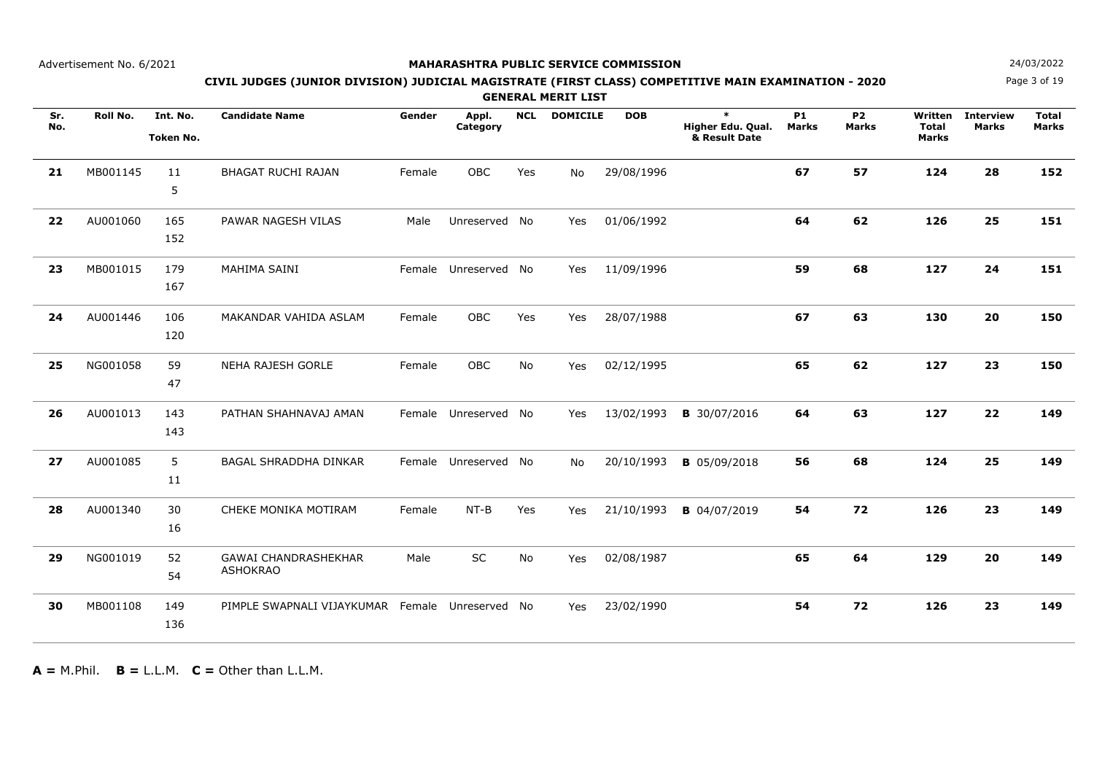## **MAHARASHTRA PUBLIC SERVICE COMMISSION**

Page 3 of 19

# **N**  $24/03/2022$ **CIVIL JUDGES (JUNIOR DIVISION) JUDICIAL MAGISTRATE (FIRST CLASS) COMPETITIVE MAIN EXAMINATION - 2020**

**GENERAL MERIT LIST**

| Sr.<br>No. | Roll No. | Int. No.<br><b>Token No.</b> | <b>Candidate Name</b>                           | Gender | Appl.<br>Category    | <b>NCL</b> | <b>DOMICILE</b> | <b>DOB</b> | $\ast$<br>Higher Edu. Qual.<br>& Result Date | <b>P1</b><br><b>Marks</b> | <b>P2</b><br><b>Marks</b> | Written<br><b>Total</b><br><b>Marks</b> | <b>Interview</b><br><b>Marks</b> | <b>Total</b><br><b>Marks</b> |
|------------|----------|------------------------------|-------------------------------------------------|--------|----------------------|------------|-----------------|------------|----------------------------------------------|---------------------------|---------------------------|-----------------------------------------|----------------------------------|------------------------------|
| 21         | MB001145 | 11<br>5                      | <b>BHAGAT RUCHI RAJAN</b>                       | Female | OBC                  | Yes        | <b>No</b>       | 29/08/1996 |                                              | 67                        | 57                        | 124                                     | 28                               | 152                          |
| 22         | AU001060 | 165<br>152                   | PAWAR NAGESH VILAS                              | Male   | Unreserved           | No         | Yes             | 01/06/1992 |                                              | 64                        | 62                        | 126                                     | 25                               | 151                          |
| 23         | MB001015 | 179<br>167                   | MAHIMA SAINI                                    |        | Female Unreserved No |            | Yes             | 11/09/1996 |                                              | 59                        | 68                        | 127                                     | 24                               | 151                          |
| 24         | AU001446 | 106<br>120                   | MAKANDAR VAHIDA ASLAM                           | Female | OBC                  | Yes        | Yes             | 28/07/1988 |                                              | 67                        | 63                        | 130                                     | 20                               | 150                          |
| 25         | NG001058 | 59<br>47                     | <b>NEHA RAJESH GORLE</b>                        | Female | OBC                  | No         | Yes             | 02/12/1995 |                                              | 65                        | 62                        | 127                                     | 23                               | 150                          |
| 26         | AU001013 | 143<br>143                   | PATHAN SHAHNAVAJ AMAN                           |        | Female Unreserved No |            | Yes             | 13/02/1993 | <b>B</b> 30/07/2016                          | 64                        | 63                        | 127                                     | 22                               | 149                          |
| 27         | AU001085 | 5<br>11                      | <b>BAGAL SHRADDHA DINKAR</b>                    |        | Female Unreserved No |            | No.             | 20/10/1993 | <b>B</b> 05/09/2018                          | 56                        | 68                        | 124                                     | 25                               | 149                          |
| 28         | AU001340 | 30<br>16                     | CHEKE MONIKA MOTIRAM                            | Female | $NT-B$               | Yes        | Yes             | 21/10/1993 | <b>B</b> 04/07/2019                          | 54                        | 72                        | 126                                     | 23                               | 149                          |
| 29         | NG001019 | 52<br>54                     | <b>GAWAI CHANDRASHEKHAR</b><br><b>ASHOKRAO</b>  | Male   | SC                   | <b>No</b>  | Yes             | 02/08/1987 |                                              | 65                        | 64                        | 129                                     | 20                               | 149                          |
| 30         | MB001108 | 149<br>136                   | PIMPLE SWAPNALI VIJAYKUMAR Female Unreserved No |        |                      |            | Yes             | 23/02/1990 |                                              | 54                        | 72                        | 126                                     | 23                               | 149                          |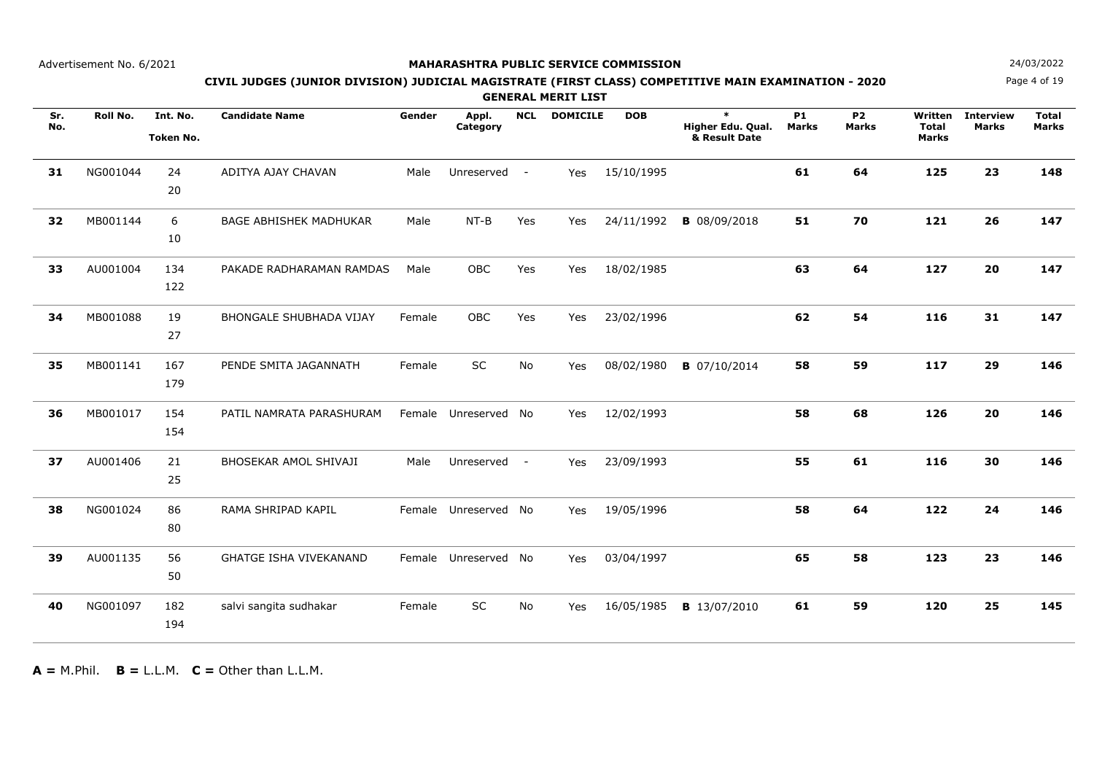## **MAHARASHTRA PUBLIC SERVICE COMMISSION**

Page 4 of 19

# **N**  $24/03/2022$ **CIVIL JUDGES (JUNIOR DIVISION) JUDICIAL MAGISTRATE (FIRST CLASS) COMPETITIVE MAIN EXAMINATION - 2020**

**GENERAL MERIT LIST**

| Sr.<br>No. | Roll No. | Int. No.<br><b>Token No.</b> | <b>Candidate Name</b>          | Gender | Appl.<br>Category    | <b>NCL</b> | <b>DOMICILE</b> | <b>DOB</b> | $\ast$<br>Higher Edu. Qual.<br>& Result Date | P <sub>1</sub><br><b>Marks</b> | <b>P2</b><br><b>Marks</b> | Written<br><b>Total</b><br>Marks | <b>Interview</b><br><b>Marks</b> | <b>Total</b><br><b>Marks</b> |
|------------|----------|------------------------------|--------------------------------|--------|----------------------|------------|-----------------|------------|----------------------------------------------|--------------------------------|---------------------------|----------------------------------|----------------------------------|------------------------------|
| 31         | NG001044 | 24<br>20                     | ADITYA AJAY CHAVAN             | Male   | Unreserved           | $\sim$ $-$ | Yes             | 15/10/1995 |                                              | 61                             | 64                        | 125                              | 23                               | 148                          |
| 32         | MB001144 | 6<br>10                      | <b>BAGE ABHISHEK MADHUKAR</b>  | Male   | $NT-B$               | Yes        | Yes             | 24/11/1992 | <b>B</b> 08/09/2018                          | 51                             | 70                        | 121                              | 26                               | 147                          |
| 33         | AU001004 | 134<br>122                   | PAKADE RADHARAMAN RAMDAS       | Male   | OBC                  | Yes        | Yes             | 18/02/1985 |                                              | 63                             | 64                        | 127                              | 20                               | 147                          |
| 34         | MB001088 | 19<br>27                     | <b>BHONGALE SHUBHADA VIJAY</b> | Female | <b>OBC</b>           | Yes        | Yes             | 23/02/1996 |                                              | 62                             | 54                        | 116                              | 31                               | 147                          |
| 35         | MB001141 | 167<br>179                   | PENDE SMITA JAGANNATH          | Female | SC                   | No         | Yes             | 08/02/1980 | <b>B</b> 07/10/2014                          | 58                             | 59                        | 117                              | 29                               | 146                          |
| 36         | MB001017 | 154<br>154                   | PATIL NAMRATA PARASHURAM       |        | Female Unreserved No |            | Yes             | 12/02/1993 |                                              | 58                             | 68                        | 126                              | 20                               | 146                          |
| 37         | AU001406 | 21<br>25                     | <b>BHOSEKAR AMOL SHIVAJI</b>   | Male   | Unreserved           | $\sim$ $-$ | Yes             | 23/09/1993 |                                              | 55                             | 61                        | 116                              | 30                               | 146                          |
| 38         | NG001024 | 86<br>80                     | RAMA SHRIPAD KAPIL             |        | Female Unreserved No |            | Yes             | 19/05/1996 |                                              | 58                             | 64                        | 122                              | 24                               | 146                          |
| 39         | AU001135 | 56<br>50                     | <b>GHATGE ISHA VIVEKANAND</b>  | Female | Unreserved           | No         | Yes             | 03/04/1997 |                                              | 65                             | 58                        | 123                              | 23                               | 146                          |
| 40         | NG001097 | 182<br>194                   | salvi sangita sudhakar         | Female | SC                   | No         | Yes             | 16/05/1985 | <b>B</b> 13/07/2010                          | 61                             | 59                        | 120                              | 25                               | 145                          |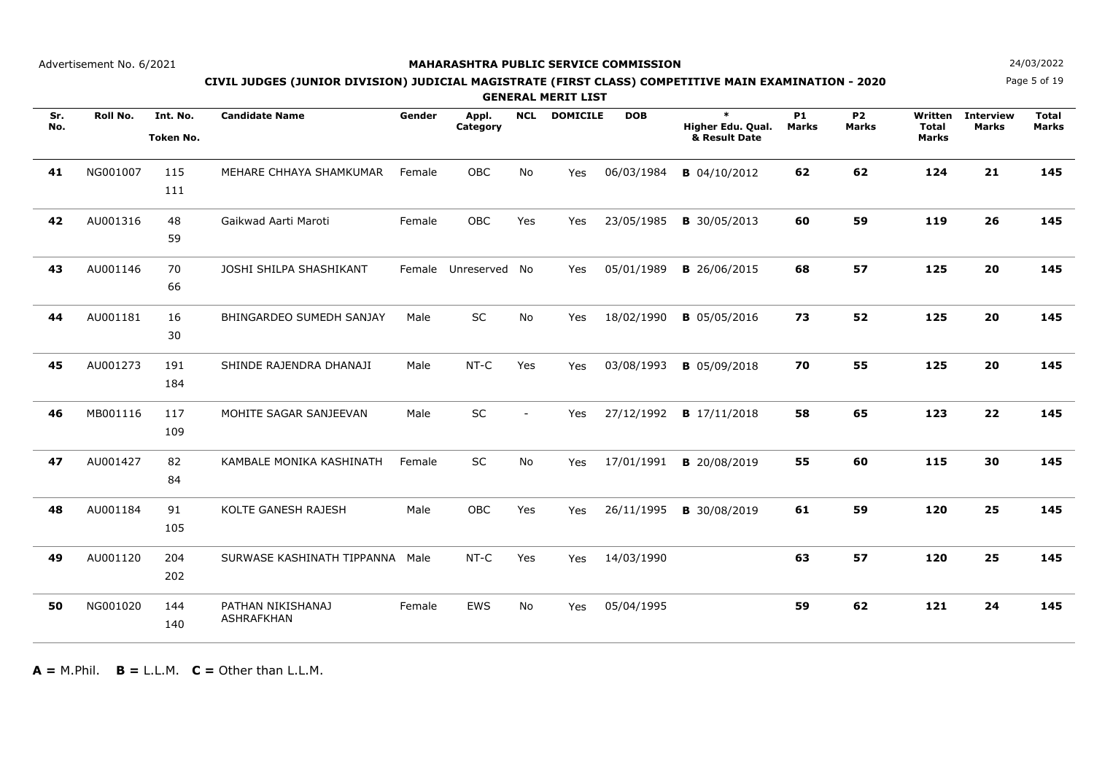### **MAHARASHTRA PUBLIC SERVICE COMMISSION**

Page 5 of 19**N**  $24/03/2022$ 

## **CIVIL JUDGES (JUNIOR DIVISION) JUDICIAL MAGISTRATE (FIRST CLASS) COMPETITIVE MAIN EXAMINATION - 2020**

**GENERAL MERIT LIST**

| Sr.<br>No. | Roll No. | Int. No.<br><b>Token No.</b> | <b>Candidate Name</b>                  | Gender | Appl.<br>Category | <b>NCL</b>               | <b>DOMICILE</b> | <b>DOB</b> | $\ast$<br>Higher Edu. Qual.<br>& Result Date | <b>P1</b><br><b>Marks</b> | <b>P2</b><br><b>Marks</b> | Written<br><b>Total</b><br>Marks | <b>Interview</b><br><b>Marks</b> | <b>Total</b><br><b>Marks</b> |
|------------|----------|------------------------------|----------------------------------------|--------|-------------------|--------------------------|-----------------|------------|----------------------------------------------|---------------------------|---------------------------|----------------------------------|----------------------------------|------------------------------|
| 41         | NG001007 | 115<br>111                   | MEHARE CHHAYA SHAMKUMAR                | Female | OBC               | No                       | Yes             | 06/03/1984 | <b>B</b> 04/10/2012                          | 62                        | 62                        | 124                              | 21                               | 145                          |
| 42         | AU001316 | 48<br>59                     | Gaikwad Aarti Maroti                   | Female | OBC               | Yes                      | Yes             | 23/05/1985 | <b>B</b> 30/05/2013                          | 60                        | 59                        | 119                              | 26                               | 145                          |
| 43         | AU001146 | 70<br>66                     | JOSHI SHILPA SHASHIKANT                |        | Female Unreserved | No                       | Yes             | 05/01/1989 | <b>B</b> 26/06/2015                          | 68                        | 57                        | 125                              | 20                               | 145                          |
| 44         | AU001181 | 16<br>30                     | BHINGARDEO SUMEDH SANJAY               | Male   | SC                | No                       | Yes             | 18/02/1990 | <b>B</b> 05/05/2016                          | 73                        | 52                        | 125                              | 20                               | 145                          |
| 45         | AU001273 | 191<br>184                   | SHINDE RAJENDRA DHANAJI                | Male   | NT-C              | Yes                      | Yes             | 03/08/1993 | <b>B</b> 05/09/2018                          | 70                        | 55                        | 125                              | 20                               | 145                          |
| 46         | MB001116 | 117<br>109                   | MOHITE SAGAR SANJEEVAN                 | Male   | <b>SC</b>         | $\overline{\phantom{a}}$ | Yes             | 27/12/1992 | <b>B</b> 17/11/2018                          | 58                        | 65                        | 123                              | 22                               | 145                          |
| 47         | AU001427 | 82<br>84                     | KAMBALE MONIKA KASHINATH               | Female | SC                | No                       | Yes             | 17/01/1991 | <b>B</b> 20/08/2019                          | 55                        | 60                        | 115                              | 30                               | 145                          |
| 48         | AU001184 | 91<br>105                    | KOLTE GANESH RAJESH                    | Male   | OBC               | Yes                      | Yes             | 26/11/1995 | <b>B</b> 30/08/2019                          | 61                        | 59                        | 120                              | 25                               | 145                          |
| 49         | AU001120 | 204<br>202                   | SURWASE KASHINATH TIPPANNA             | Male   | NT-C              | Yes                      | Yes             | 14/03/1990 |                                              | 63                        | 57                        | 120                              | 25                               | 145                          |
| 50         | NG001020 | 144<br>140                   | PATHAN NIKISHANAJ<br><b>ASHRAFKHAN</b> | Female | <b>EWS</b>        | <b>No</b>                | Yes             | 05/04/1995 |                                              | 59                        | 62                        | 121                              | 24                               | 145                          |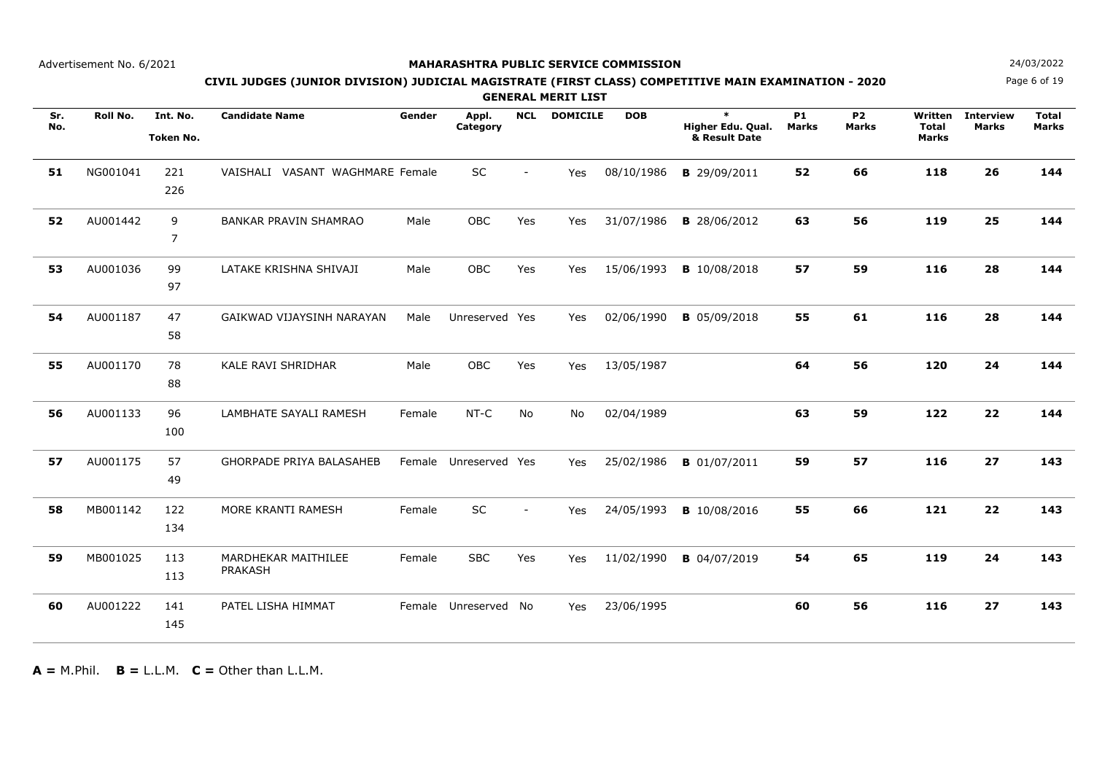## **MAHARASHTRA PUBLIC SERVICE COMMISSION**

Page 6 of 19**N**  $24/03/2022$ 

## **CIVIL JUDGES (JUNIOR DIVISION) JUDICIAL MAGISTRATE (FIRST CLASS) COMPETITIVE MAIN EXAMINATION - 2020**

**GENERAL MERIT LIST**

| Sr.<br>No. | Roll No. | Int. No.<br><b>Token No.</b> | <b>Candidate Name</b>           | Gender | Appl.<br>Category | <b>NCL</b> | <b>DOMICILE</b> | <b>DOB</b> | $\ast$<br>Higher Edu. Qual.<br>& Result Date | <b>P1</b><br><b>Marks</b> | <b>P2</b><br><b>Marks</b> | Written<br><b>Total</b><br><b>Marks</b> | <b>Interview</b><br>Marks | <b>Total</b><br><b>Marks</b> |
|------------|----------|------------------------------|---------------------------------|--------|-------------------|------------|-----------------|------------|----------------------------------------------|---------------------------|---------------------------|-----------------------------------------|---------------------------|------------------------------|
| 51         | NG001041 | 221<br>226                   | VAISHALI VASANT WAGHMARE Female |        | SC                |            | Yes             | 08/10/1986 | <b>B</b> 29/09/2011                          | 52                        | 66                        | 118                                     | 26                        | 144                          |
| 52         | AU001442 | 9<br>7                       | <b>BANKAR PRAVIN SHAMRAO</b>    | Male   | OBC               | Yes        | Yes             | 31/07/1986 | <b>B</b> 28/06/2012                          | 63                        | 56                        | 119                                     | 25                        | 144                          |
| 53         | AU001036 | 99<br>97                     | LATAKE KRISHNA SHIVAJI          | Male   | OBC               | Yes        | Yes             | 15/06/1993 | <b>B</b> 10/08/2018                          | 57                        | 59                        | 116                                     | 28                        | 144                          |
| 54         | AU001187 | 47<br>58                     | GAIKWAD VIJAYSINH NARAYAN       | Male   | Unreserved Yes    |            | Yes             | 02/06/1990 | <b>B</b> 05/09/2018                          | 55                        | 61                        | 116                                     | 28                        | 144                          |
| 55         | AU001170 | 78<br>88                     | <b>KALE RAVI SHRIDHAR</b>       | Male   | OBC               | Yes        | Yes             | 13/05/1987 |                                              | 64                        | 56                        | 120                                     | 24                        | 144                          |
| 56         | AU001133 | 96<br>100                    | LAMBHATE SAYALI RAMESH          | Female | NT-C              | No         | No              | 02/04/1989 |                                              | 63                        | 59                        | 122                                     | 22                        | 144                          |
| 57         | AU001175 | 57<br>49                     | <b>GHORPADE PRIYA BALASAHEB</b> | Female | Unreserved Yes    |            | Yes             | 25/02/1986 | <b>B</b> 01/07/2011                          | 59                        | 57                        | 116                                     | 27                        | 143                          |
| 58         | MB001142 | 122<br>134                   | MORE KRANTI RAMESH              | Female | SC                | $\sim$     | Yes             | 24/05/1993 | <b>B</b> 10/08/2016                          | 55                        | 66                        | 121                                     | 22                        | 143                          |
| 59         | MB001025 | 113<br>113                   | MARDHEKAR MAITHILEE<br>PRAKASH  | Female | <b>SBC</b>        | Yes        | Yes             | 11/02/1990 | <b>B</b> 04/07/2019                          | 54                        | 65                        | 119                                     | 24                        | 143                          |
| 60         | AU001222 | 141<br>145                   | PATEL LISHA HIMMAT              | Female | Unreserved        | No         | Yes             | 23/06/1995 |                                              | 60                        | 56                        | 116                                     | 27                        | 143                          |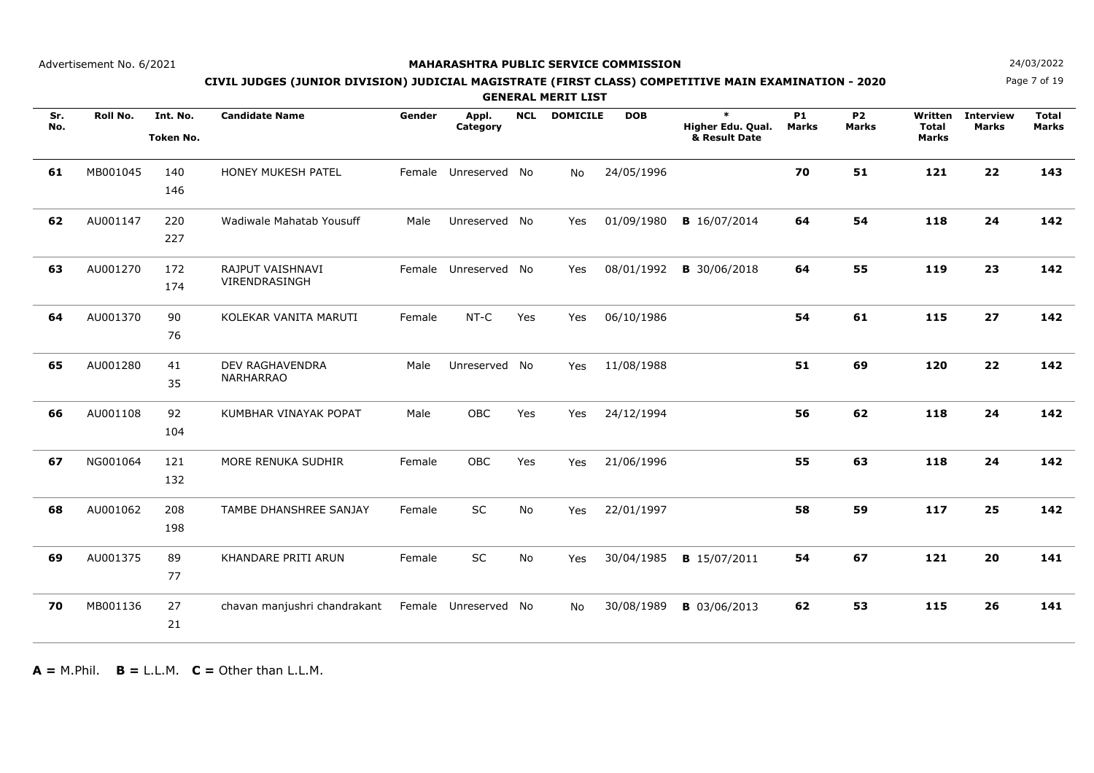## **MAHARASHTRA PUBLIC SERVICE COMMISSION**

Page 7 of 19**N**  $24/03/2022$ 

## **CIVIL JUDGES (JUNIOR DIVISION) JUDICIAL MAGISTRATE (FIRST CLASS) COMPETITIVE MAIN EXAMINATION - 2020**

**GENERAL MERIT LIST**

| Sr.<br>No. | Roll No. | Int. No.<br><b>Token No.</b> | <b>Candidate Name</b>                      | Gender | Appl.<br>Category    | <b>NCL</b> | <b>DOMICILE</b> | <b>DOB</b> | $\ast$<br>Higher Edu. Qual.<br>& Result Date | <b>P1</b><br><b>Marks</b> | <b>P2</b><br><b>Marks</b> | Written<br><b>Total</b><br>Marks | <b>Interview</b><br><b>Marks</b> | <b>Total</b><br><b>Marks</b> |
|------------|----------|------------------------------|--------------------------------------------|--------|----------------------|------------|-----------------|------------|----------------------------------------------|---------------------------|---------------------------|----------------------------------|----------------------------------|------------------------------|
| 61         | MB001045 | 140<br>146                   | HONEY MUKESH PATEL                         |        | Female Unreserved No |            | No              | 24/05/1996 |                                              | 70                        | 51                        | 121                              | 22                               | 143                          |
| 62         | AU001147 | 220<br>227                   | Wadiwale Mahatab Yousuff                   | Male   | Unreserved No        |            | Yes             | 01/09/1980 | <b>B</b> 16/07/2014                          | 64                        | 54                        | 118                              | 24                               | 142                          |
| 63         | AU001270 | 172<br>174                   | RAJPUT VAISHNAVI<br>VIRENDRASINGH          |        | Female Unreserved No |            | Yes             | 08/01/1992 | <b>B</b> 30/06/2018                          | 64                        | 55                        | 119                              | 23                               | 142                          |
| 64         | AU001370 | 90<br>76                     | KOLEKAR VANITA MARUTI                      | Female | NT-C                 | Yes        | Yes             | 06/10/1986 |                                              | 54                        | 61                        | 115                              | 27                               | 142                          |
| 65         | AU001280 | 41<br>35                     | <b>DEV RAGHAVENDRA</b><br><b>NARHARRAO</b> | Male   | Unreserved No        |            | Yes             | 11/08/1988 |                                              | 51                        | 69                        | 120                              | 22                               | 142                          |
| 66         | AU001108 | 92<br>104                    | KUMBHAR VINAYAK POPAT                      | Male   | OBC                  | Yes        | Yes             | 24/12/1994 |                                              | 56                        | 62                        | 118                              | 24                               | 142                          |
| 67         | NG001064 | 121<br>132                   | MORE RENUKA SUDHIR                         | Female | OBC                  | Yes        | Yes             | 21/06/1996 |                                              | 55                        | 63                        | 118                              | 24                               | 142                          |
| 68         | AU001062 | 208<br>198                   | TAMBE DHANSHREE SANJAY                     | Female | SC                   | No         | Yes             | 22/01/1997 |                                              | 58                        | 59                        | 117                              | 25                               | 142                          |
| 69         | AU001375 | 89<br>77                     | KHANDARE PRITI ARUN                        | Female | SC                   | No         | Yes             | 30/04/1985 | <b>B</b> 15/07/2011                          | 54                        | 67                        | 121                              | 20                               | 141                          |
| 70         | MB001136 | 27<br>21                     | chavan manjushri chandrakant               |        | Female Unreserved No |            | No              | 30/08/1989 | <b>B</b> 03/06/2013                          | 62                        | 53                        | 115                              | 26                               | 141                          |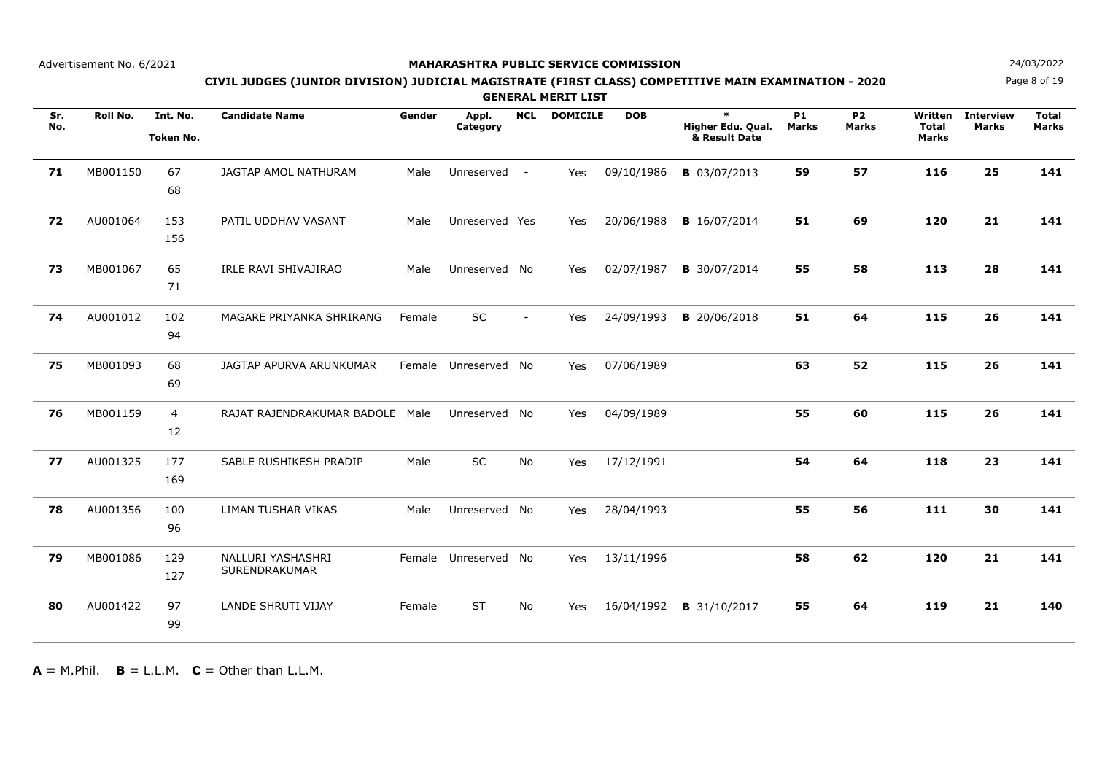## **MAHARASHTRA PUBLIC SERVICE COMMISSION**

Page 8 of 19

# **N**  $24/03/2022$ **CIVIL JUDGES (JUNIOR DIVISION) JUDICIAL MAGISTRATE (FIRST CLASS) COMPETITIVE MAIN EXAMINATION - 2020**

**GENERAL MERIT LIST**

| Sr.<br>No. | Roll No. | Int. No.<br><b>Token No.</b> | <b>Candidate Name</b>              | Gender | Appl.<br>Category    | <b>NCL</b>     | <b>DOMICILE</b> | <b>DOB</b> | $\ast$<br>Higher Edu. Qual.<br>& Result Date | <b>P1</b><br><b>Marks</b> | <b>P2</b><br><b>Marks</b> | Written<br><b>Total</b><br>Marks | <b>Interview</b><br><b>Marks</b> | <b>Total</b><br><b>Marks</b> |
|------------|----------|------------------------------|------------------------------------|--------|----------------------|----------------|-----------------|------------|----------------------------------------------|---------------------------|---------------------------|----------------------------------|----------------------------------|------------------------------|
| 71         | MB001150 | 67<br>68                     | JAGTAP AMOL NATHURAM               | Male   | Unreserved -         |                | Yes             | 09/10/1986 | <b>B</b> 03/07/2013                          | 59                        | 57                        | 116                              | 25                               | 141                          |
| 72         | AU001064 | 153<br>156                   | PATIL UDDHAV VASANT                | Male   | Unreserved Yes       |                | Yes             | 20/06/1988 | <b>B</b> 16/07/2014                          | 51                        | 69                        | 120                              | 21                               | 141                          |
| 73         | MB001067 | 65<br>71                     | IRLE RAVI SHIVAJIRAO               | Male   | Unreserved No        |                | Yes             | 02/07/1987 | <b>B</b> 30/07/2014                          | 55                        | 58                        | 113                              | 28                               | 141                          |
| 74         | AU001012 | 102<br>94                    | MAGARE PRIYANKA SHRIRANG           | Female | <b>SC</b>            | $\blacksquare$ | Yes             | 24/09/1993 | <b>B</b> 20/06/2018                          | 51                        | 64                        | 115                              | 26                               | 141                          |
| 75         | MB001093 | 68<br>69                     | JAGTAP APURVA ARUNKUMAR            |        | Female Unreserved No |                | Yes             | 07/06/1989 |                                              | 63                        | 52                        | 115                              | 26                               | 141                          |
| 76         | MB001159 | $\overline{4}$<br>12         | RAJAT RAJENDRAKUMAR BADOLE Male    |        | Unreserved No        |                | Yes             | 04/09/1989 |                                              | 55                        | 60                        | 115                              | 26                               | 141                          |
| 77         | AU001325 | 177<br>169                   | SABLE RUSHIKESH PRADIP             | Male   | SC                   | No             | Yes             | 17/12/1991 |                                              | 54                        | 64                        | 118                              | 23                               | 141                          |
| 78         | AU001356 | 100<br>96                    | LIMAN TUSHAR VIKAS                 | Male   | Unreserved No        |                | Yes             | 28/04/1993 |                                              | 55                        | 56                        | 111                              | 30                               | 141                          |
| 79         | MB001086 | 129<br>127                   | NALLURI YASHASHRI<br>SURENDRAKUMAR |        | Female Unreserved No |                | Yes             | 13/11/1996 |                                              | 58                        | 62                        | 120                              | 21                               | 141                          |
| 80         | AU001422 | 97<br>99                     | LANDE SHRUTI VIJAY                 | Female | <b>ST</b>            | No             | Yes             | 16/04/1992 | <b>B</b> 31/10/2017                          | 55                        | 64                        | 119                              | 21                               | 140                          |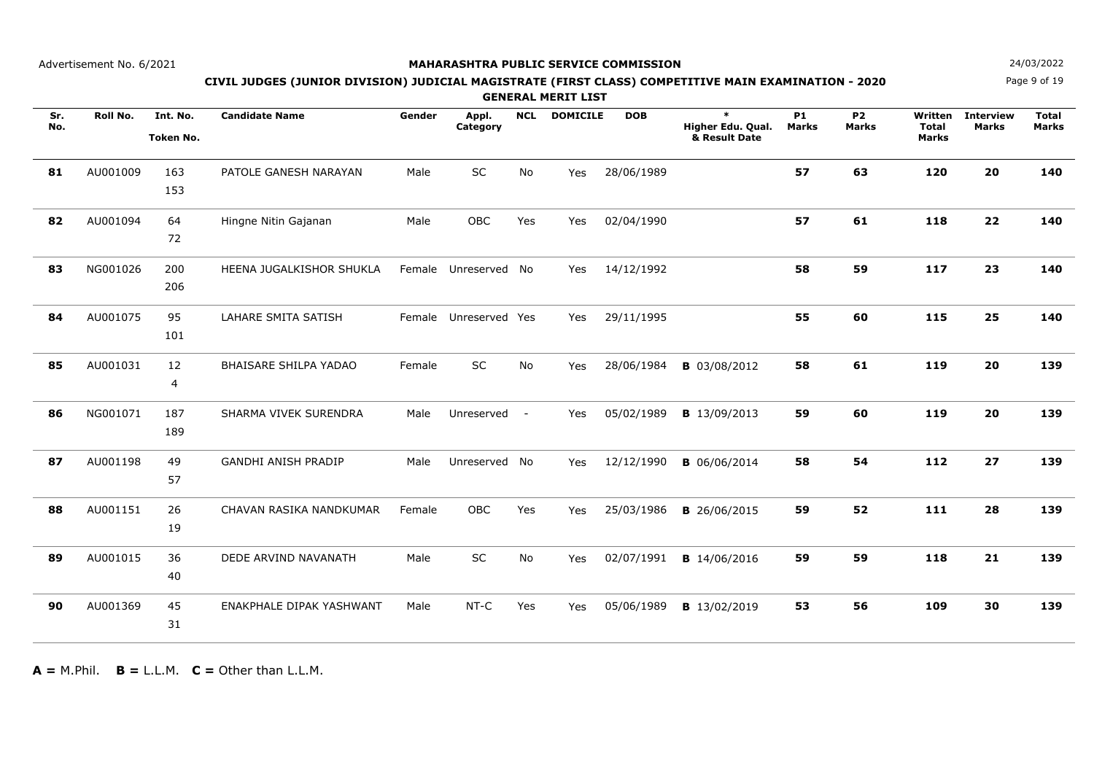## **MAHARASHTRA PUBLIC SERVICE COMMISSION**

Page 9 of 19**N**  $24/03/2022$ 

## **CIVIL JUDGES (JUNIOR DIVISION) JUDICIAL MAGISTRATE (FIRST CLASS) COMPETITIVE MAIN EXAMINATION - 2020**

**GENERAL MERIT LIST**

| Sr.<br>No. | Roll No. | Int. No.<br><b>Token No.</b> | <b>Candidate Name</b>        | Gender | Appl.<br>Category     | <b>NCL</b> | <b>DOMICILE</b> | <b>DOB</b> | $\ast$<br>Higher Edu. Qual.<br>& Result Date | P <sub>1</sub><br><b>Marks</b> | <b>P2</b><br><b>Marks</b> | Written<br><b>Total</b><br><b>Marks</b> | <b>Interview</b><br><b>Marks</b> | <b>Total</b><br><b>Marks</b> |
|------------|----------|------------------------------|------------------------------|--------|-----------------------|------------|-----------------|------------|----------------------------------------------|--------------------------------|---------------------------|-----------------------------------------|----------------------------------|------------------------------|
| 81         | AU001009 | 163<br>153                   | PATOLE GANESH NARAYAN        | Male   | SC                    | <b>No</b>  | Yes             | 28/06/1989 |                                              | 57                             | 63                        | 120                                     | 20                               | 140                          |
| 82         | AU001094 | 64<br>72                     | Hingne Nitin Gajanan         | Male   | <b>OBC</b>            | Yes        | Yes             | 02/04/1990 |                                              | 57                             | 61                        | 118                                     | 22                               | 140                          |
| 83         | NG001026 | 200<br>206                   | HEENA JUGALKISHOR SHUKLA     |        | Female Unreserved     | <b>No</b>  | Yes             | 14/12/1992 |                                              | 58                             | 59                        | 117                                     | 23                               | 140                          |
| 84         | AU001075 | 95<br>101                    | <b>LAHARE SMITA SATISH</b>   |        | Female Unreserved Yes |            | Yes             | 29/11/1995 |                                              | 55                             | 60                        | 115                                     | 25                               | 140                          |
| 85         | AU001031 | 12<br>4                      | <b>BHAISARE SHILPA YADAO</b> | Female | SC                    | No         | Yes             | 28/06/1984 | <b>B</b> 03/08/2012                          | 58                             | 61                        | 119                                     | 20                               | 139                          |
| 86         | NG001071 | 187<br>189                   | SHARMA VIVEK SURENDRA        | Male   | Unreserved            | $\sim$ $-$ | Yes             | 05/02/1989 | <b>B</b> 13/09/2013                          | 59                             | 60                        | 119                                     | 20                               | 139                          |
| 87         | AU001198 | 49<br>57                     | <b>GANDHI ANISH PRADIP</b>   | Male   | Unreserved No         |            | Yes             | 12/12/1990 | <b>B</b> 06/06/2014                          | 58                             | 54                        | 112                                     | 27                               | 139                          |
| 88         | AU001151 | 26<br>19                     | CHAVAN RASIKA NANDKUMAR      | Female | <b>OBC</b>            | Yes        | Yes             | 25/03/1986 | <b>B</b> 26/06/2015                          | 59                             | 52                        | 111                                     | 28                               | 139                          |
| 89         | AU001015 | 36<br>40                     | DEDE ARVIND NAVANATH         | Male   | SC                    | No         | Yes             | 02/07/1991 | <b>B</b> 14/06/2016                          | 59                             | 59                        | 118                                     | 21                               | 139                          |
| 90         | AU001369 | 45<br>31                     | ENAKPHALE DIPAK YASHWANT     | Male   | $NT-C$                | Yes        | Yes             | 05/06/1989 | <b>B</b> 13/02/2019                          | 53                             | 56                        | 109                                     | 30                               | 139                          |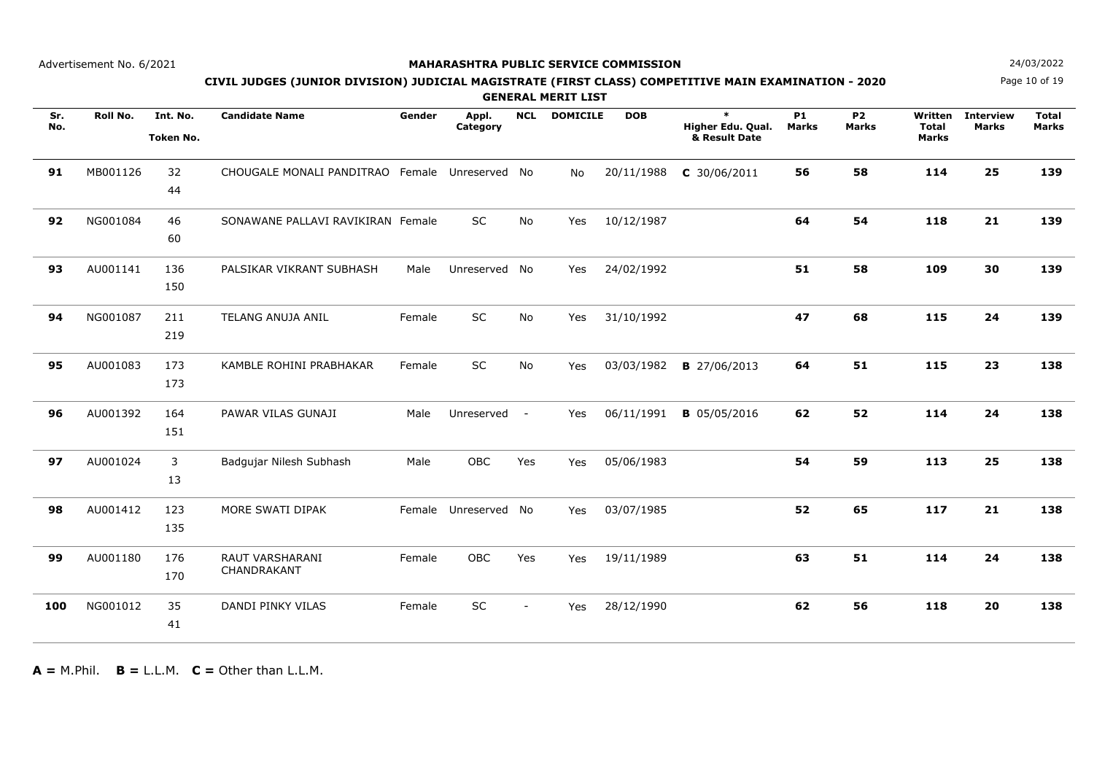## **MAHARASHTRA PUBLIC SERVICE COMMISSION**

Page 10 of 19**N**  $24/03/2022$ 

## **CIVIL JUDGES (JUNIOR DIVISION) JUDICIAL MAGISTRATE (FIRST CLASS) COMPETITIVE MAIN EXAMINATION - 2020**

**GENERAL MERIT LIST**

| Sr.<br>No. | Roll No. | Int. No.<br><b>Token No.</b> | <b>Candidate Name</b>                          | Gender | Appl.<br>Category    | <b>NCL</b> | <b>DOMICILE</b> | <b>DOB</b> | $\ast$<br>Higher Edu. Qual.<br>& Result Date | <b>P1</b><br><b>Marks</b> | <b>P2</b><br><b>Marks</b> | Written<br><b>Total</b><br>Marks | <b>Interview</b><br><b>Marks</b> | <b>Total</b><br><b>Marks</b> |
|------------|----------|------------------------------|------------------------------------------------|--------|----------------------|------------|-----------------|------------|----------------------------------------------|---------------------------|---------------------------|----------------------------------|----------------------------------|------------------------------|
| 91         | MB001126 | 32<br>44                     | CHOUGALE MONALI PANDITRAO Female Unreserved No |        |                      |            | No.             | 20/11/1988 | $C$ 30/06/2011                               | 56                        | 58                        | 114                              | 25                               | 139                          |
| 92         | NG001084 | 46<br>60                     | SONAWANE PALLAVI RAVIKIRAN Female              |        | <b>SC</b>            | <b>No</b>  | Yes             | 10/12/1987 |                                              | 64                        | 54                        | 118                              | 21                               | 139                          |
| 93         | AU001141 | 136<br>150                   | PALSIKAR VIKRANT SUBHASH                       | Male   | Unreserved           | No         | Yes             | 24/02/1992 |                                              | 51                        | 58                        | 109                              | 30                               | 139                          |
| 94         | NG001087 | 211<br>219                   | <b>TELANG ANUJA ANIL</b>                       | Female | SC                   | No         | Yes             | 31/10/1992 |                                              | 47                        | 68                        | 115                              | 24                               | 139                          |
| 95         | AU001083 | 173<br>173                   | KAMBLE ROHINI PRABHAKAR                        | Female | SC                   | No         | Yes             | 03/03/1982 | <b>B</b> 27/06/2013                          | 64                        | 51                        | 115                              | 23                               | 138                          |
| 96         | AU001392 | 164<br>151                   | PAWAR VILAS GUNAJI                             | Male   | Unreserved           | $\sim$ $-$ | Yes             | 06/11/1991 | <b>B</b> 05/05/2016                          | 62                        | 52                        | 114                              | 24                               | 138                          |
| 97         | AU001024 | 3<br>13                      | Badgujar Nilesh Subhash                        | Male   | OBC                  | Yes        | Yes             | 05/06/1983 |                                              | 54                        | 59                        | 113                              | 25                               | 138                          |
| 98         | AU001412 | 123<br>135                   | MORE SWATI DIPAK                               |        | Female Unreserved No |            | Yes             | 03/07/1985 |                                              | 52                        | 65                        | 117                              | 21                               | 138                          |
| 99         | AU001180 | 176<br>170                   | RAUT VARSHARANI<br>CHANDRAKANT                 | Female | OBC                  | Yes        | Yes             | 19/11/1989 |                                              | 63                        | 51                        | 114                              | 24                               | 138                          |
| 100        | NG001012 | 35<br>41                     | DANDI PINKY VILAS                              | Female | <b>SC</b>            | $\sim$     | Yes             | 28/12/1990 |                                              | 62                        | 56                        | 118                              | 20                               | 138                          |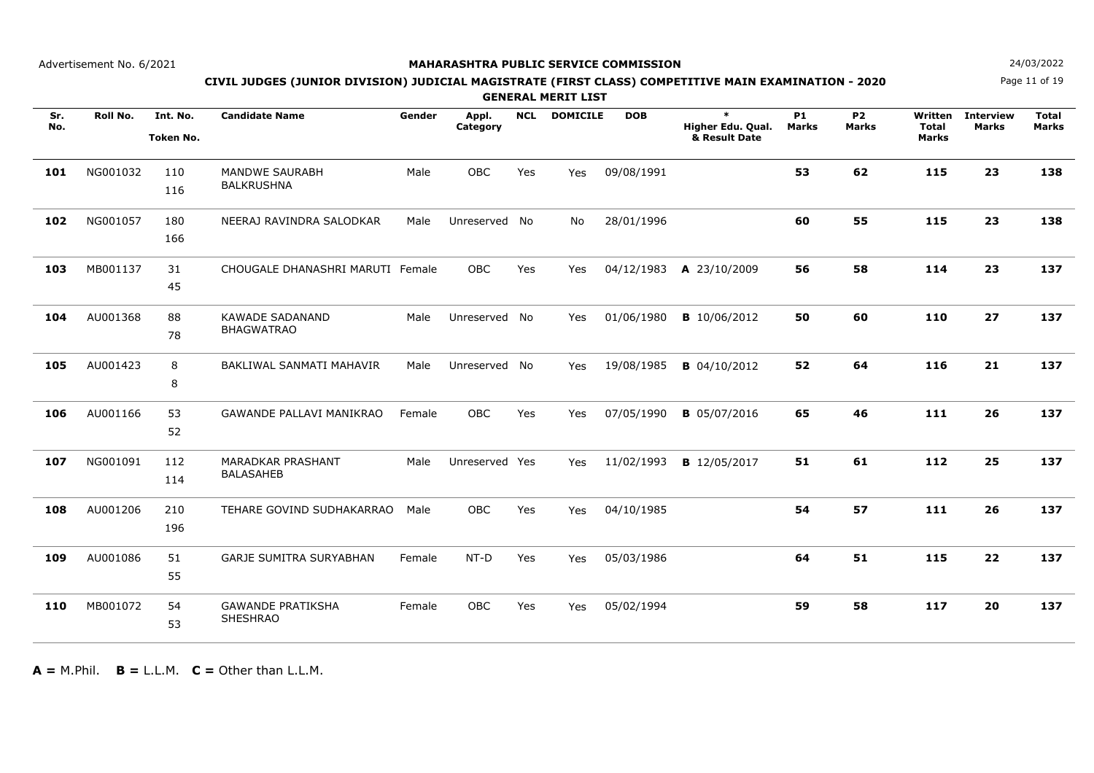## **MAHARASHTRA PUBLIC SERVICE COMMISSION**

Page 11 of 19**N**  $24/03/2022$ 

## **CIVIL JUDGES (JUNIOR DIVISION) JUDICIAL MAGISTRATE (FIRST CLASS) COMPETITIVE MAIN EXAMINATION - 2020**

**GENERAL MERIT LIST**

| Sr.<br>No. | Roll No. | Int. No.<br><b>Token No.</b> | <b>Candidate Name</b>                        | Gender | Appl.<br>Category | <b>NCL</b> | <b>DOMICILE</b> | <b>DOB</b> | $\ast$<br>Higher Edu. Qual.<br>& Result Date | <b>P1</b><br><b>Marks</b> | <b>P2</b><br><b>Marks</b> | Written<br><b>Total</b><br><b>Marks</b> | <b>Interview</b><br><b>Marks</b> | <b>Total</b><br><b>Marks</b> |
|------------|----------|------------------------------|----------------------------------------------|--------|-------------------|------------|-----------------|------------|----------------------------------------------|---------------------------|---------------------------|-----------------------------------------|----------------------------------|------------------------------|
| 101        | NG001032 | 110<br>116                   | <b>MANDWE SAURABH</b><br><b>BALKRUSHNA</b>   | Male   | <b>OBC</b>        | Yes        | Yes             | 09/08/1991 |                                              | 53                        | 62                        | 115                                     | 23                               | 138                          |
| 102        | NG001057 | 180<br>166                   | NEERAJ RAVINDRA SALODKAR                     | Male   | Unreserved No     |            | No              | 28/01/1996 |                                              | 60                        | 55                        | 115                                     | 23                               | 138                          |
| 103        | MB001137 | 31<br>45                     | CHOUGALE DHANASHRI MARUTI Female             |        | <b>OBC</b>        | Yes        | Yes             | 04/12/1983 | A 23/10/2009                                 | 56                        | 58                        | 114                                     | 23                               | 137                          |
| 104        | AU001368 | 88<br>78                     | <b>KAWADE SADANAND</b><br><b>BHAGWATRAO</b>  | Male   | Unreserved No     |            | Yes             | 01/06/1980 | <b>B</b> 10/06/2012                          | 50                        | 60                        | 110                                     | 27                               | 137                          |
| 105        | AU001423 | 8<br>8                       | BAKLIWAL SANMATI MAHAVIR                     | Male   | Unreserved No     |            | Yes             | 19/08/1985 | <b>B</b> 04/10/2012                          | 52                        | 64                        | 116                                     | 21                               | 137                          |
| 106        | AU001166 | 53<br>52                     | GAWANDE PALLAVI MANIKRAO                     | Female | OBC               | Yes        | Yes             | 07/05/1990 | <b>B</b> 05/07/2016                          | 65                        | 46                        | 111                                     | 26                               | 137                          |
| 107        | NG001091 | 112<br>114                   | <b>MARADKAR PRASHANT</b><br><b>BALASAHEB</b> | Male   | Unreserved Yes    |            | <b>Yes</b>      | 11/02/1993 | <b>B</b> 12/05/2017                          | 51                        | 61                        | 112                                     | 25                               | 137                          |
| 108        | AU001206 | 210<br>196                   | TEHARE GOVIND SUDHAKARRAO                    | Male   | <b>OBC</b>        | Yes        | Yes             | 04/10/1985 |                                              | 54                        | 57                        | 111                                     | 26                               | 137                          |
| 109        | AU001086 | 51<br>55                     | GARJE SUMITRA SURYABHAN                      | Female | $NT-D$            | Yes        | Yes             | 05/03/1986 |                                              | 64                        | 51                        | 115                                     | 22                               | 137                          |
| 110        | MB001072 | 54<br>53                     | <b>GAWANDE PRATIKSHA</b><br><b>SHESHRAO</b>  | Female | <b>OBC</b>        | Yes        | Yes             | 05/02/1994 |                                              | 59                        | 58                        | 117                                     | 20                               | 137                          |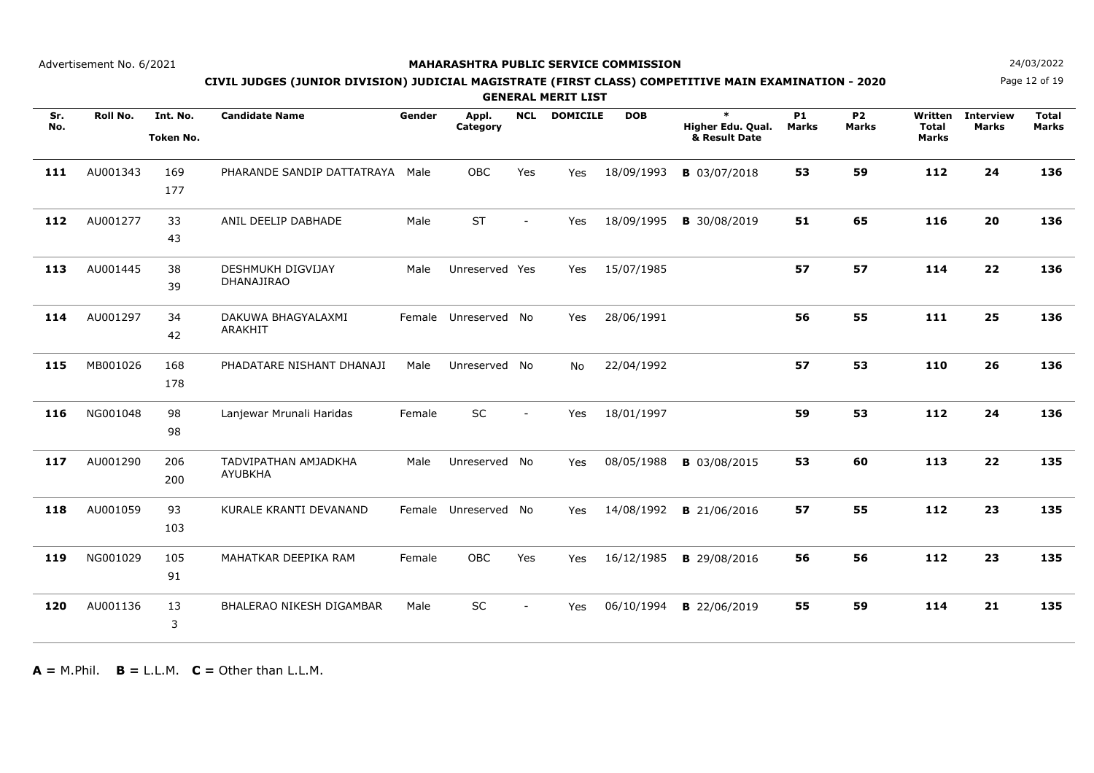## **MAHARASHTRA PUBLIC SERVICE COMMISSION**

Page 12 of 19**N**  $24/03/2022$ 

## **CIVIL JUDGES (JUNIOR DIVISION) JUDICIAL MAGISTRATE (FIRST CLASS) COMPETITIVE MAIN EXAMINATION - 2020**

**GENERAL MERIT LIST**

| Sr.<br>No. | Roll No. | Int. No.<br><b>Token No.</b> | <b>Candidate Name</b>                  | Gender | Appl.<br>Category    | <b>NCL</b>               | <b>DOMICILE</b> | <b>DOB</b> | $\ast$<br>Higher Edu. Qual.<br>& Result Date | <b>P1</b><br><b>Marks</b> | <b>P2</b><br><b>Marks</b> | Written<br><b>Total</b><br>Marks | <b>Interview</b><br><b>Marks</b> | <b>Total</b><br><b>Marks</b> |
|------------|----------|------------------------------|----------------------------------------|--------|----------------------|--------------------------|-----------------|------------|----------------------------------------------|---------------------------|---------------------------|----------------------------------|----------------------------------|------------------------------|
| 111        | AU001343 | 169<br>177                   | PHARANDE SANDIP DATTATRAYA Male        |        | <b>OBC</b>           | Yes                      | Yes             | 18/09/1993 | <b>B</b> 03/07/2018                          | 53                        | 59                        | 112                              | 24                               | 136                          |
| 112        | AU001277 | 33<br>43                     | ANIL DEELIP DABHADE                    | Male   | <b>ST</b>            | $\overline{\phantom{a}}$ | Yes             | 18/09/1995 | <b>B</b> 30/08/2019                          | 51                        | 65                        | 116                              | 20                               | 136                          |
| 113        | AU001445 | 38<br>39                     | <b>DESHMUKH DIGVIJAY</b><br>DHANAJIRAO | Male   | Unreserved Yes       |                          | Yes             | 15/07/1985 |                                              | 57                        | 57                        | 114                              | 22                               | 136                          |
| 114        | AU001297 | 34<br>42                     | DAKUWA BHAGYALAXMI<br>ARAKHIT          |        | Female Unreserved No |                          | Yes             | 28/06/1991 |                                              | 56                        | 55                        | 111                              | 25                               | 136                          |
| 115        | MB001026 | 168<br>178                   | PHADATARE NISHANT DHANAJI              | Male   | Unreserved No        |                          | No.             | 22/04/1992 |                                              | 57                        | 53                        | 110                              | 26                               | 136                          |
| 116        | NG001048 | 98<br>98                     | Lanjewar Mrunali Haridas               | Female | SC                   | $\overline{\phantom{a}}$ | Yes             | 18/01/1997 |                                              | 59                        | 53                        | 112                              | 24                               | 136                          |
| 117        | AU001290 | 206<br>200                   | TADVIPATHAN AMJADKHA<br>AYUBKHA        | Male   | Unreserved No        |                          | Yes             | 08/05/1988 | <b>B</b> 03/08/2015                          | 53                        | 60                        | 113                              | 22                               | 135                          |
| 118        | AU001059 | 93<br>103                    | KURALE KRANTI DEVANAND                 |        | Female Unreserved No |                          | Yes             | 14/08/1992 | <b>B</b> 21/06/2016                          | 57                        | 55                        | 112                              | 23                               | 135                          |
| 119        | NG001029 | 105<br>91                    | MAHATKAR DEEPIKA RAM                   | Female | <b>OBC</b>           | Yes                      | Yes             | 16/12/1985 | <b>B</b> 29/08/2016                          | 56                        | 56                        | 112                              | 23                               | 135                          |
| 120        | AU001136 | 13<br>3                      | <b>BHALERAO NIKESH DIGAMBAR</b>        | Male   | <b>SC</b>            | $\sim$                   | Yes             | 06/10/1994 | <b>B</b> 22/06/2019                          | 55                        | 59                        | 114                              | 21                               | 135                          |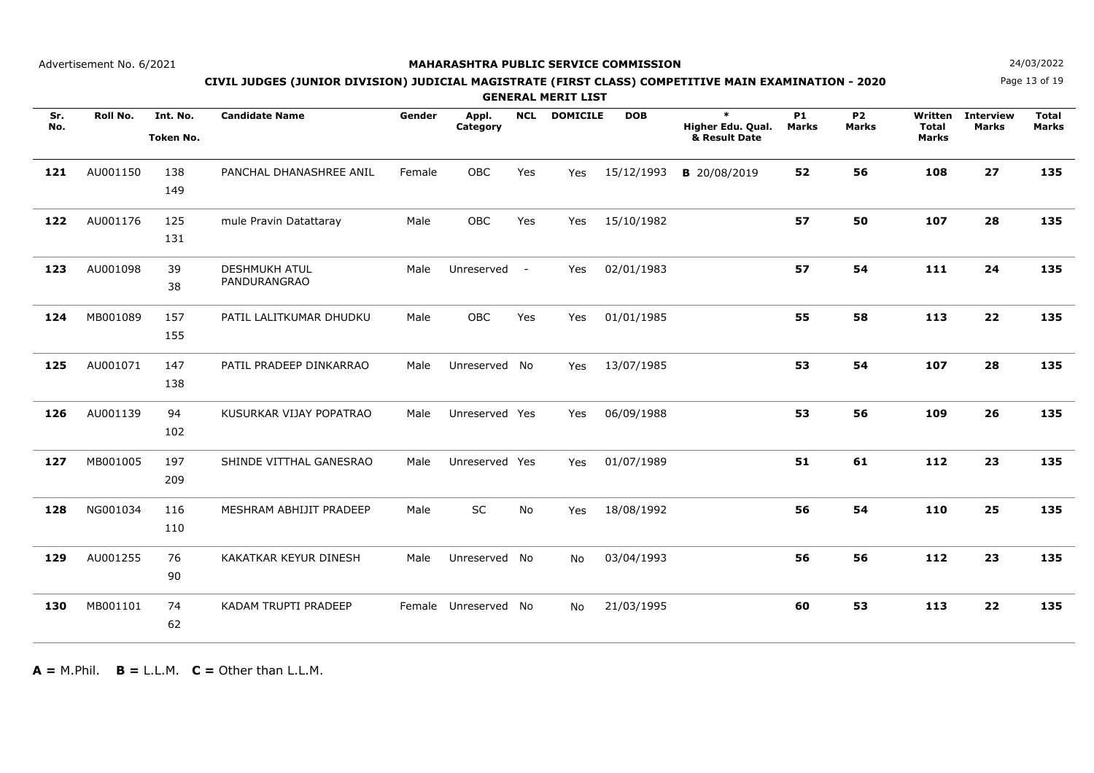## **MAHARASHTRA PUBLIC SERVICE COMMISSION**

Page 13 of 19**N**  $24/03/2022$ 

## **CIVIL JUDGES (JUNIOR DIVISION) JUDICIAL MAGISTRATE (FIRST CLASS) COMPETITIVE MAIN EXAMINATION - 2020**

**GENERAL MERIT LIST**

| Sr.<br>No. | Roll No. | Int. No.<br><b>Token No.</b> | <b>Candidate Name</b>                | Gender | Appl.<br>Category | <b>NCL</b> | <b>DOMICILE</b> | <b>DOB</b> | $\ast$<br>Higher Edu. Qual.<br>& Result Date | <b>P1</b><br><b>Marks</b> | <b>P2</b><br><b>Marks</b> | Written<br><b>Total</b><br><b>Marks</b> | <b>Interview</b><br><b>Marks</b> | <b>Total</b><br><b>Marks</b> |
|------------|----------|------------------------------|--------------------------------------|--------|-------------------|------------|-----------------|------------|----------------------------------------------|---------------------------|---------------------------|-----------------------------------------|----------------------------------|------------------------------|
| 121        | AU001150 | 138<br>149                   | PANCHAL DHANASHREE ANIL              | Female | <b>OBC</b>        | Yes        | Yes             | 15/12/1993 | <b>B</b> 20/08/2019                          | 52                        | 56                        | 108                                     | 27                               | 135                          |
| 122        | AU001176 | 125<br>131                   | mule Pravin Datattaray               | Male   | <b>OBC</b>        | Yes        | Yes             | 15/10/1982 |                                              | 57                        | 50                        | 107                                     | 28                               | 135                          |
| 123        | AU001098 | 39<br>38                     | <b>DESHMUKH ATUL</b><br>PANDURANGRAO | Male   | Unreserved        | $\sim$ $-$ | Yes             | 02/01/1983 |                                              | 57                        | 54                        | 111                                     | 24                               | 135                          |
| 124        | MB001089 | 157<br>155                   | PATIL LALITKUMAR DHUDKU              | Male   | OBC               | Yes        | Yes             | 01/01/1985 |                                              | 55                        | 58                        | 113                                     | 22                               | 135                          |
| 125        | AU001071 | 147<br>138                   | PATIL PRADEEP DINKARRAO              | Male   | Unreserved No     |            | Yes             | 13/07/1985 |                                              | 53                        | 54                        | 107                                     | 28                               | 135                          |
| 126        | AU001139 | 94<br>102                    | KUSURKAR VIJAY POPATRAO              | Male   | Unreserved Yes    |            | Yes             | 06/09/1988 |                                              | 53                        | 56                        | 109                                     | 26                               | 135                          |
| 127        | MB001005 | 197<br>209                   | SHINDE VITTHAL GANESRAO              | Male   | Unreserved Yes    |            | Yes             | 01/07/1989 |                                              | 51                        | 61                        | 112                                     | 23                               | 135                          |
| 128        | NG001034 | 116<br>110                   | MESHRAM ABHIJIT PRADEEP              | Male   | SC                | <b>No</b>  | Yes             | 18/08/1992 |                                              | 56                        | 54                        | 110                                     | 25                               | 135                          |
| 129        | AU001255 | 76<br>90                     | KAKATKAR KEYUR DINESH                | Male   | Unreserved No     |            | No.             | 03/04/1993 |                                              | 56                        | 56                        | 112                                     | 23                               | 135                          |
| 130        | MB001101 | 74<br>62                     | KADAM TRUPTI PRADEEP                 | Female | Unreserved        | No         | No.             | 21/03/1995 |                                              | 60                        | 53                        | 113                                     | 22                               | 135                          |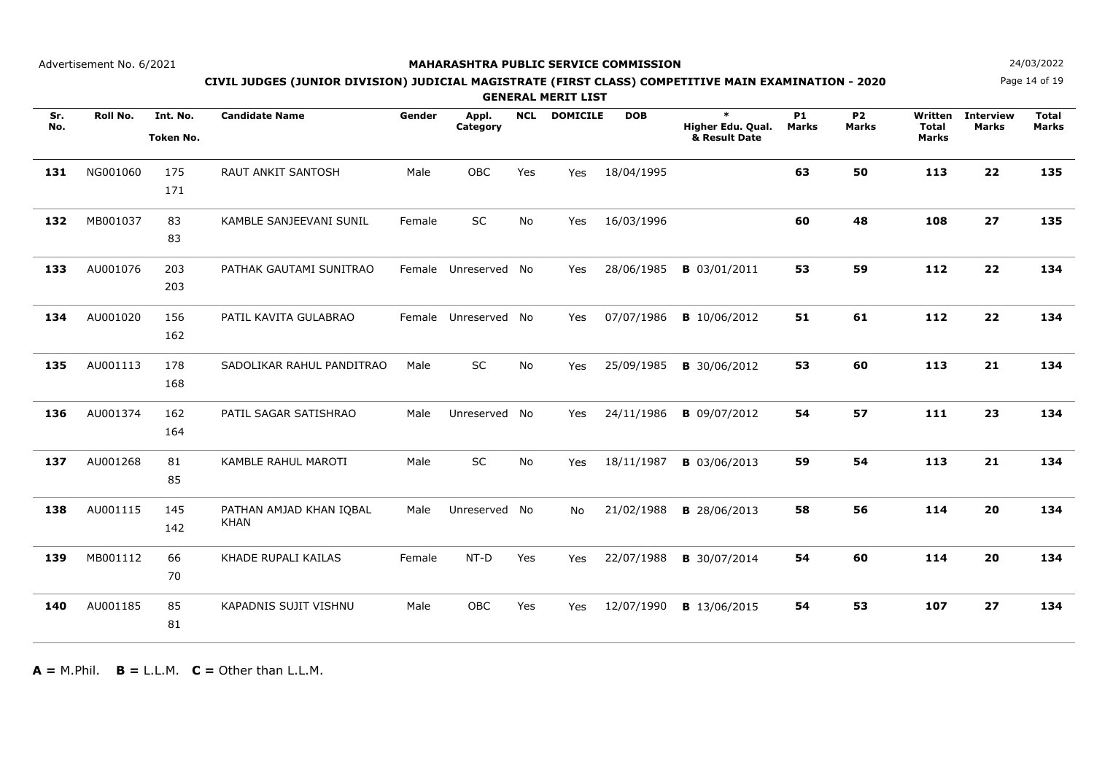## **MAHARASHTRA PUBLIC SERVICE COMMISSION**

Page 14 of 19**N**  $24/03/2022$ 

## **CIVIL JUDGES (JUNIOR DIVISION) JUDICIAL MAGISTRATE (FIRST CLASS) COMPETITIVE MAIN EXAMINATION - 2020**

**GENERAL MERIT LIST**

| Sr.<br>No. | Roll No. | Int. No.<br><b>Token No.</b> | <b>Candidate Name</b>                  | Gender | Appl.<br>Category    | <b>NCL</b> | <b>DOMICILE</b> | <b>DOB</b> | $\ast$<br>Higher Edu. Qual.<br>& Result Date | <b>P1</b><br><b>Marks</b> | <b>P2</b><br><b>Marks</b> | Written<br><b>Total</b><br>Marks | <b>Interview</b><br><b>Marks</b> | <b>Total</b><br><b>Marks</b> |
|------------|----------|------------------------------|----------------------------------------|--------|----------------------|------------|-----------------|------------|----------------------------------------------|---------------------------|---------------------------|----------------------------------|----------------------------------|------------------------------|
| 131        | NG001060 | 175<br>171                   | <b>RAUT ANKIT SANTOSH</b>              | Male   | OBC                  | Yes        | Yes             | 18/04/1995 |                                              | 63                        | 50                        | 113                              | 22                               | 135                          |
| 132        | MB001037 | 83<br>83                     | KAMBLE SANJEEVANI SUNIL                | Female | SC                   | No         | Yes             | 16/03/1996 |                                              | 60                        | 48                        | 108                              | 27                               | 135                          |
| 133        | AU001076 | 203<br>203                   | PATHAK GAUTAMI SUNITRAO                |        | Female Unreserved No |            | Yes             | 28/06/1985 | <b>B</b> 03/01/2011                          | 53                        | 59                        | 112                              | 22                               | 134                          |
| 134        | AU001020 | 156<br>162                   | PATIL KAVITA GULABRAO                  |        | Female Unreserved No |            | Yes             | 07/07/1986 | <b>B</b> 10/06/2012                          | 51                        | 61                        | 112                              | 22                               | 134                          |
| 135        | AU001113 | 178<br>168                   | SADOLIKAR RAHUL PANDITRAO              | Male   | SC                   | No         | Yes             | 25/09/1985 | <b>B</b> 30/06/2012                          | 53                        | 60                        | 113                              | 21                               | 134                          |
| 136        | AU001374 | 162<br>164                   | PATIL SAGAR SATISHRAO                  | Male   | Unreserved           | No         | Yes             | 24/11/1986 | <b>B</b> 09/07/2012                          | 54                        | 57                        | 111                              | 23                               | 134                          |
| 137        | AU001268 | 81<br>85                     | KAMBLE RAHUL MAROTI                    | Male   | SC                   | <b>No</b>  | Yes             | 18/11/1987 | <b>B</b> 03/06/2013                          | 59                        | 54                        | 113                              | 21                               | 134                          |
| 138        | AU001115 | 145<br>142                   | PATHAN AMJAD KHAN IQBAL<br><b>KHAN</b> | Male   | Unreserved No        |            | No              | 21/02/1988 | <b>B</b> 28/06/2013                          | 58                        | 56                        | 114                              | 20                               | 134                          |
| 139        | MB001112 | 66<br>70                     | KHADE RUPALI KAILAS                    | Female | $NT-D$               | Yes        | Yes             | 22/07/1988 | <b>B</b> 30/07/2014                          | 54                        | 60                        | 114                              | 20                               | 134                          |
| 140        | AU001185 | 85<br>81                     | KAPADNIS SUJIT VISHNU                  | Male   | OBC                  | Yes        | Yes             | 12/07/1990 | <b>B</b> 13/06/2015                          | 54                        | 53                        | 107                              | 27                               | 134                          |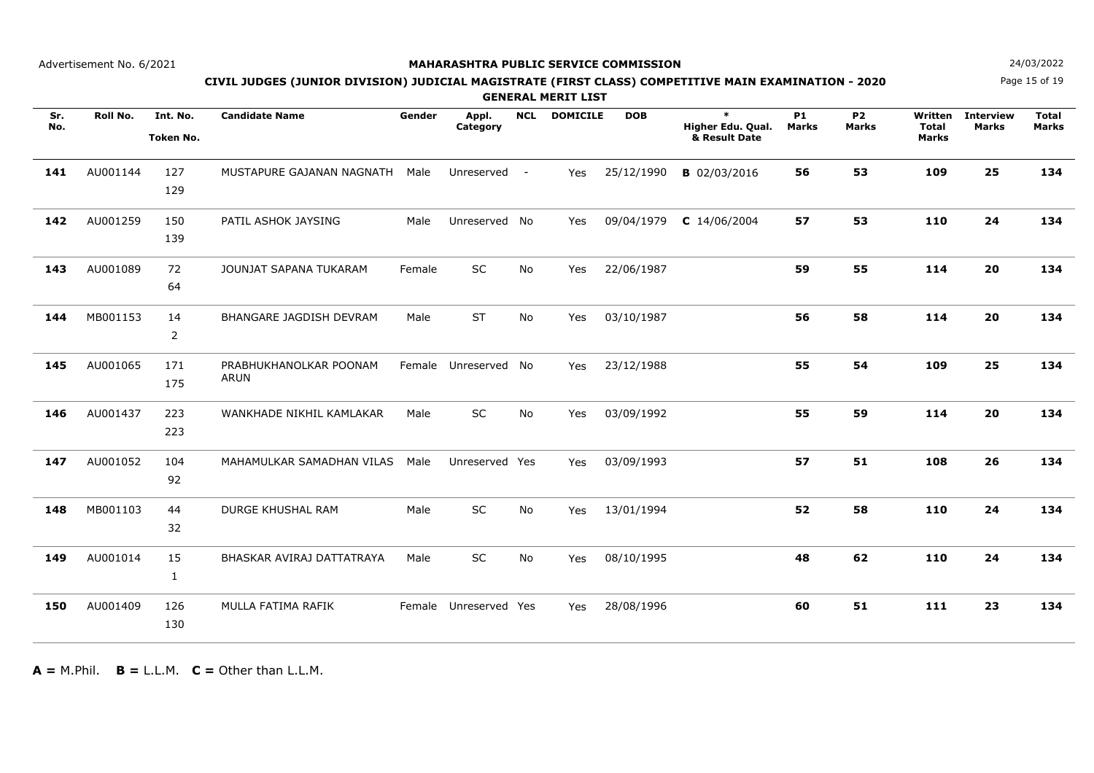## **MAHARASHTRA PUBLIC SERVICE COMMISSION**

Page 15 of 19**N**  $24/03/2022$ 

## **CIVIL JUDGES (JUNIOR DIVISION) JUDICIAL MAGISTRATE (FIRST CLASS) COMPETITIVE MAIN EXAMINATION - 2020**

**GENERAL MERIT LIST**

| Sr.<br>No. | <b>Roll No.</b> | Int. No.<br><b>Token No.</b> | <b>Candidate Name</b>                 | Gender | Appl.<br>Category | <b>NCL</b> | <b>DOMICILE</b> | <b>DOB</b> | $\ast$<br>Higher Edu. Qual.<br>& Result Date | <b>P1</b><br><b>Marks</b> | <b>P2</b><br><b>Marks</b> | Written<br><b>Total</b><br>Marks | <b>Interview</b><br><b>Marks</b> | <b>Total</b><br><b>Marks</b> |
|------------|-----------------|------------------------------|---------------------------------------|--------|-------------------|------------|-----------------|------------|----------------------------------------------|---------------------------|---------------------------|----------------------------------|----------------------------------|------------------------------|
| 141        | AU001144        | 127<br>129                   | MUSTAPURE GAJANAN NAGNATH             | Male   | Unreserved        | $\sim$ $-$ | Yes             | 25/12/1990 | <b>B</b> 02/03/2016                          | 56                        | 53                        | 109                              | 25                               | 134                          |
| 142        | AU001259        | 150<br>139                   | PATIL ASHOK JAYSING                   | Male   | Unreserved No     |            | Yes             | 09/04/1979 | $C$ 14/06/2004                               | 57                        | 53                        | 110                              | 24                               | 134                          |
| 143        | AU001089        | 72<br>64                     | JOUNJAT SAPANA TUKARAM                | Female | SC                | No         | Yes             | 22/06/1987 |                                              | 59                        | 55                        | 114                              | 20                               | 134                          |
| 144        | MB001153        | 14<br>$\overline{2}$         | BHANGARE JAGDISH DEVRAM               | Male   | ST                | No         | Yes             | 03/10/1987 |                                              | 56                        | 58                        | 114                              | 20                               | 134                          |
| 145        | AU001065        | 171<br>175                   | PRABHUKHANOLKAR POONAM<br><b>ARUN</b> |        | Female Unreserved | No         | Yes             | 23/12/1988 |                                              | 55                        | 54                        | 109                              | 25                               | 134                          |
| 146        | AU001437        | 223<br>223                   | WANKHADE NIKHIL KAMLAKAR              | Male   | SC                | No         | Yes             | 03/09/1992 |                                              | 55                        | 59                        | 114                              | 20                               | 134                          |
| 147        | AU001052        | 104<br>92                    | MAHAMULKAR SAMADHAN VILAS             | Male   | Unreserved Yes    |            | Yes             | 03/09/1993 |                                              | 57                        | 51                        | 108                              | 26                               | 134                          |
| 148        | MB001103        | 44<br>32                     | <b>DURGE KHUSHAL RAM</b>              | Male   | SC                | No         | Yes             | 13/01/1994 |                                              | 52                        | 58                        | 110                              | 24                               | 134                          |
| 149        | AU001014        | 15<br>1                      | BHASKAR AVIRAJ DATTATRAYA             | Male   | SC                | No         | Yes             | 08/10/1995 |                                              | 48                        | 62                        | 110                              | 24                               | 134                          |
| 150        | AU001409        | 126<br>130                   | MULLA FATIMA RAFIK                    | Female | Unreserved Yes    |            | Yes             | 28/08/1996 |                                              | 60                        | 51                        | 111                              | 23                               | 134                          |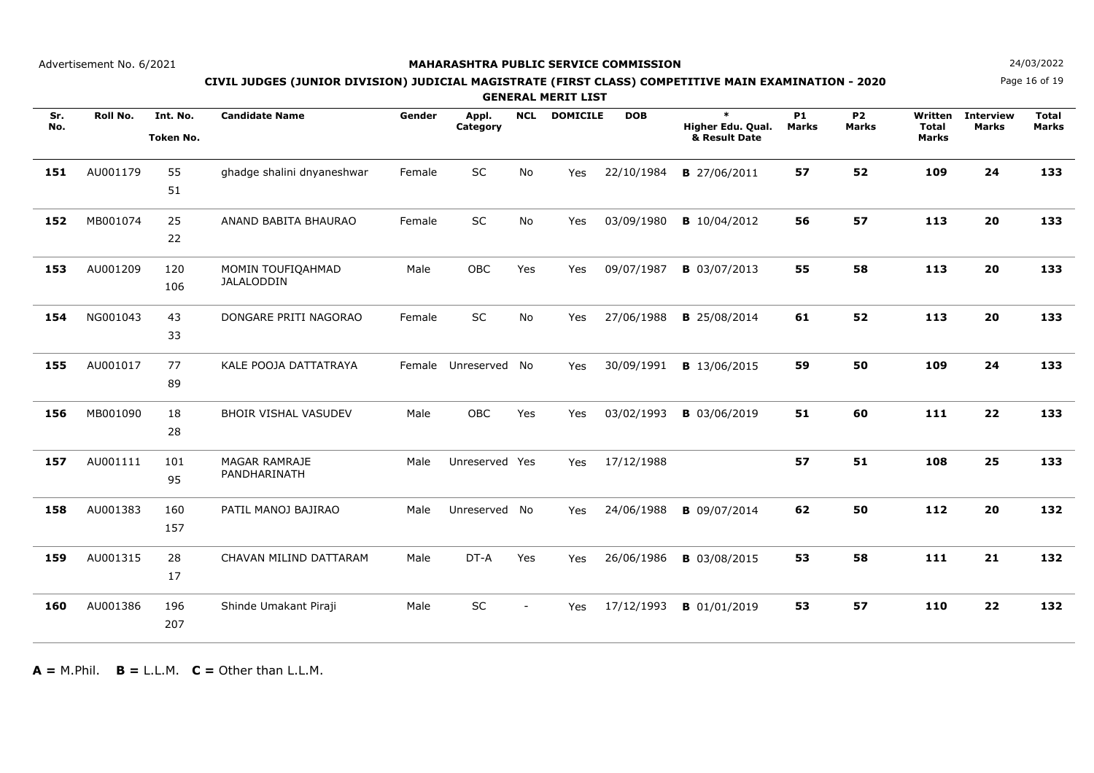## **MAHARASHTRA PUBLIC SERVICE COMMISSION**

Page 16 of 19**N**  $24/03/2022$ 

## **CIVIL JUDGES (JUNIOR DIVISION) JUDICIAL MAGISTRATE (FIRST CLASS) COMPETITIVE MAIN EXAMINATION - 2020**

**GENERAL MERIT LIST**

| Sr.<br>No. | Roll No. | Int. No.<br><b>Token No.</b> | <b>Candidate Name</b>                | Gender | Appl.<br>Category | <b>NCL</b>     | <b>DOMICILE</b> | <b>DOB</b> | $\ast$<br>Higher Edu. Qual.<br>& Result Date | <b>P1</b><br><b>Marks</b> | <b>P2</b><br><b>Marks</b> | Written<br><b>Total</b><br>Marks | <b>Interview</b><br><b>Marks</b> | <b>Total</b><br><b>Marks</b> |
|------------|----------|------------------------------|--------------------------------------|--------|-------------------|----------------|-----------------|------------|----------------------------------------------|---------------------------|---------------------------|----------------------------------|----------------------------------|------------------------------|
| 151        | AU001179 | 55<br>51                     | ghadge shalini dnyaneshwar           | Female | SC                | No             | Yes             | 22/10/1984 | <b>B</b> 27/06/2011                          | 57                        | 52                        | 109                              | 24                               | 133                          |
| 152        | MB001074 | 25<br>22                     | ANAND BABITA BHAURAO                 | Female | SC                | No             | Yes             | 03/09/1980 | <b>B</b> 10/04/2012                          | 56                        | 57                        | 113                              | 20                               | 133                          |
| 153        | AU001209 | 120<br>106                   | MOMIN TOUFIQAHMAD<br>JALALODDIN      | Male   | OBC               | Yes            | Yes             | 09/07/1987 | <b>B</b> 03/07/2013                          | 55                        | 58                        | 113                              | 20                               | 133                          |
| 154        | NG001043 | 43<br>33                     | DONGARE PRITI NAGORAO                | Female | SC                | No             | Yes             | 27/06/1988 | <b>B</b> 25/08/2014                          | 61                        | 52                        | 113                              | 20                               | 133                          |
| 155        | AU001017 | 77<br>89                     | KALE POOJA DATTATRAYA                | Female | Unreserved        | No             | Yes             | 30/09/1991 | <b>B</b> 13/06/2015                          | 59                        | 50                        | 109                              | 24                               | 133                          |
| 156        | MB001090 | 18<br>28                     | <b>BHOIR VISHAL VASUDEV</b>          | Male   | <b>OBC</b>        | Yes            | Yes             | 03/02/1993 | <b>B</b> 03/06/2019                          | 51                        | 60                        | 111                              | 22                               | 133                          |
| 157        | AU001111 | 101<br>95                    | <b>MAGAR RAMRAJE</b><br>PANDHARINATH | Male   | Unreserved Yes    |                | Yes             | 17/12/1988 |                                              | 57                        | 51                        | 108                              | 25                               | 133                          |
| 158        | AU001383 | 160<br>157                   | PATIL MANOJ BAJIRAO                  | Male   | Unreserved No     |                | Yes             | 24/06/1988 | <b>B</b> 09/07/2014                          | 62                        | 50                        | 112                              | 20                               | 132                          |
| 159        | AU001315 | 28<br>17                     | CHAVAN MILIND DATTARAM               | Male   | DT-A              | Yes            | Yes             | 26/06/1986 | <b>B</b> 03/08/2015                          | 53                        | 58                        | 111                              | 21                               | 132                          |
| 160        | AU001386 | 196<br>207                   | Shinde Umakant Piraji                | Male   | SC                | $\blacksquare$ | Yes             | 17/12/1993 | <b>B</b> 01/01/2019                          | 53                        | 57                        | 110                              | 22                               | 132                          |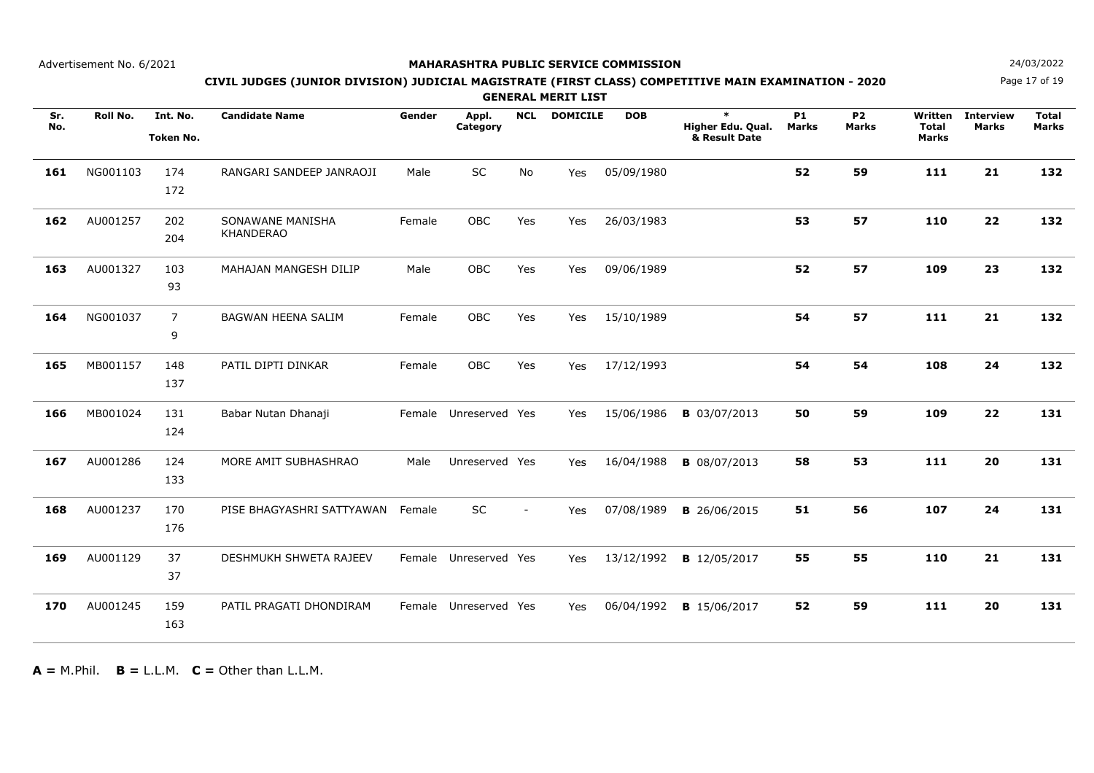## **MAHARASHTRA PUBLIC SERVICE COMMISSION**

Page 17 of 19**N**  $24/03/2022$ 

## **CIVIL JUDGES (JUNIOR DIVISION) JUDICIAL MAGISTRATE (FIRST CLASS) COMPETITIVE MAIN EXAMINATION - 2020**

**GENERAL MERIT LIST**

| Sr.<br>No. | Roll No. | Int. No.<br><b>Token No.</b> | <b>Candidate Name</b>                | Gender | Appl.<br>Category     | <b>NCL</b> | <b>DOMICILE</b> | <b>DOB</b> | $\ast$<br>Higher Edu. Qual.<br>& Result Date | <b>P1</b><br><b>Marks</b> | <b>P2</b><br><b>Marks</b> | Written<br><b>Total</b><br>Marks | <b>Interview</b><br><b>Marks</b> | <b>Total</b><br>Marks |
|------------|----------|------------------------------|--------------------------------------|--------|-----------------------|------------|-----------------|------------|----------------------------------------------|---------------------------|---------------------------|----------------------------------|----------------------------------|-----------------------|
| 161        | NG001103 | 174<br>172                   | RANGARI SANDEEP JANRAOJI             | Male   | SC                    | <b>No</b>  | Yes             | 05/09/1980 |                                              | 52                        | 59                        | 111                              | 21                               | 132                   |
| 162        | AU001257 | 202<br>204                   | SONAWANE MANISHA<br><b>KHANDERAO</b> | Female | OBC                   | Yes        | Yes             | 26/03/1983 |                                              | 53                        | 57                        | 110                              | 22                               | 132                   |
| 163        | AU001327 | 103<br>93                    | MAHAJAN MANGESH DILIP                | Male   | OBC                   | Yes        | Yes             | 09/06/1989 |                                              | 52                        | 57                        | 109                              | 23                               | 132                   |
| 164        | NG001037 | $\overline{7}$<br>9          | BAGWAN HEENA SALIM                   | Female | OBC                   | Yes        | Yes             | 15/10/1989 |                                              | 54                        | 57                        | 111                              | 21                               | 132                   |
| 165        | MB001157 | 148<br>137                   | PATIL DIPTI DINKAR                   | Female | OBC                   | Yes        | Yes             | 17/12/1993 |                                              | 54                        | 54                        | 108                              | 24                               | 132                   |
| 166        | MB001024 | 131<br>124                   | Babar Nutan Dhanaji                  |        | Female Unreserved Yes |            | Yes             | 15/06/1986 | <b>B</b> 03/07/2013                          | 50                        | 59                        | 109                              | 22                               | 131                   |
| 167        | AU001286 | 124<br>133                   | MORE AMIT SUBHASHRAO                 | Male   | Unreserved Yes        |            | Yes             | 16/04/1988 | <b>B</b> 08/07/2013                          | 58                        | 53                        | 111                              | 20                               | 131                   |
| 168        | AU001237 | 170<br>176                   | PISE BHAGYASHRI SATTYAWAN            | Female | <b>SC</b>             |            | Yes             | 07/08/1989 | <b>B</b> 26/06/2015                          | 51                        | 56                        | 107                              | 24                               | 131                   |
| 169        | AU001129 | 37<br>37                     | <b>DESHMUKH SHWETA RAJEEV</b>        |        | Female Unreserved Yes |            | Yes             | 13/12/1992 | <b>B</b> 12/05/2017                          | 55                        | 55                        | 110                              | 21                               | 131                   |
| 170        | AU001245 | 159<br>163                   | PATIL PRAGATI DHONDIRAM              |        | Female Unreserved Yes |            | Yes             | 06/04/1992 | <b>B</b> 15/06/2017                          | 52                        | 59                        | 111                              | 20                               | 131                   |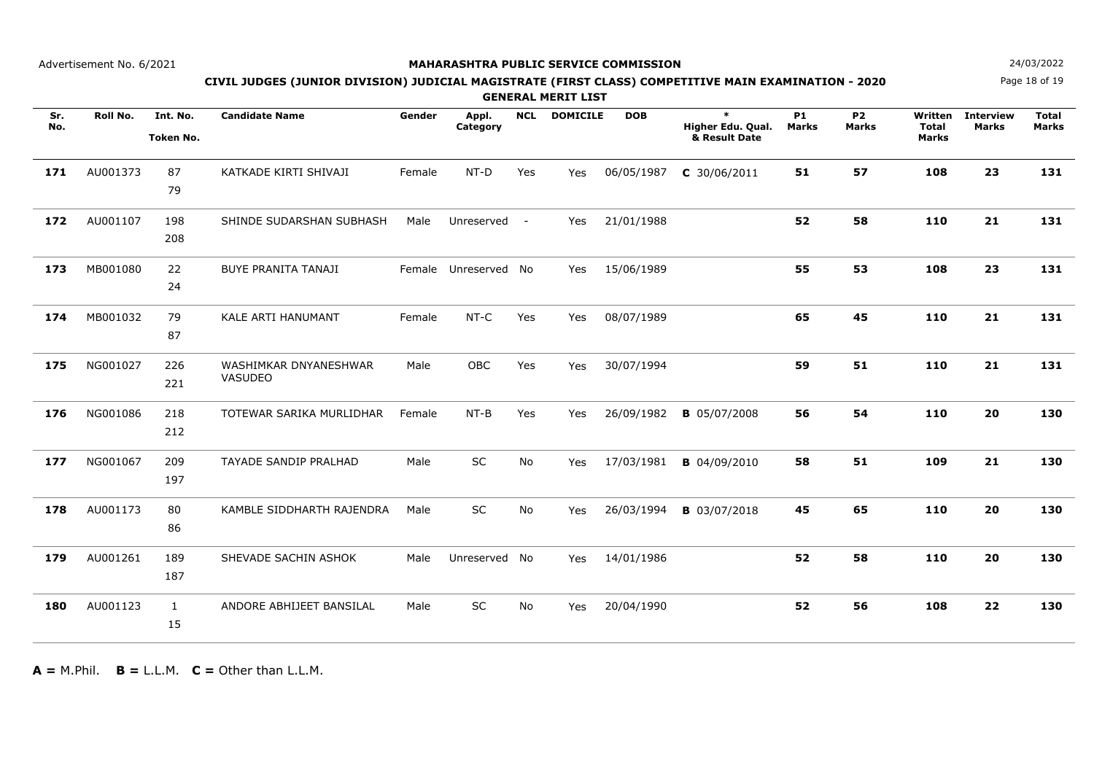## **MAHARASHTRA PUBLIC SERVICE COMMISSION**

Page 18 of 19**N**  $24/03/2022$ 

## **CIVIL JUDGES (JUNIOR DIVISION) JUDICIAL MAGISTRATE (FIRST CLASS) COMPETITIVE MAIN EXAMINATION - 2020**

**GENERAL MERIT LIST**

| Sr.<br>No. | Roll No. | Int. No.<br><b>Token No.</b> | <b>Candidate Name</b>                   | Gender | Appl.<br>Category    | <b>NCL</b> | <b>DOMICILE</b> | <b>DOB</b> | $\ast$<br>Higher Edu. Qual.<br>& Result Date | <b>P1</b><br><b>Marks</b> | <b>P2</b><br><b>Marks</b> | Written<br><b>Total</b><br>Marks | <b>Interview</b><br>Marks | <b>Total</b><br><b>Marks</b> |
|------------|----------|------------------------------|-----------------------------------------|--------|----------------------|------------|-----------------|------------|----------------------------------------------|---------------------------|---------------------------|----------------------------------|---------------------------|------------------------------|
| 171        | AU001373 | 87<br>79                     | KATKADE KIRTI SHIVAJI                   | Female | $NT-D$               | Yes        | Yes             | 06/05/1987 | $C$ 30/06/2011                               | 51                        | 57                        | 108                              | 23                        | 131                          |
| 172        | AU001107 | 198<br>208                   | SHINDE SUDARSHAN SUBHASH                | Male   | Unreserved           | $\sim$     | Yes             | 21/01/1988 |                                              | 52                        | 58                        | 110                              | 21                        | 131                          |
| 173        | MB001080 | 22<br>24                     | <b>BUYE PRANITA TANAJI</b>              |        | Female Unreserved No |            | Yes             | 15/06/1989 |                                              | 55                        | 53                        | 108                              | 23                        | 131                          |
| 174        | MB001032 | 79<br>87                     | <b>KALE ARTI HANUMANT</b>               | Female | NT-C                 | Yes        | Yes             | 08/07/1989 |                                              | 65                        | 45                        | 110                              | 21                        | 131                          |
| 175        | NG001027 | 226<br>221                   | WASHIMKAR DNYANESHWAR<br><b>VASUDEO</b> | Male   | OBC                  | Yes        | Yes             | 30/07/1994 |                                              | 59                        | 51                        | 110                              | 21                        | 131                          |
| 176        | NG001086 | 218<br>212                   | TOTEWAR SARIKA MURLIDHAR                | Female | $NT-B$               | Yes        | Yes             | 26/09/1982 | <b>B</b> 05/07/2008                          | 56                        | 54                        | 110                              | 20                        | 130                          |
| 177        | NG001067 | 209<br>197                   | TAYADE SANDIP PRALHAD                   | Male   | SC                   | <b>No</b>  | Yes             | 17/03/1981 | <b>B</b> 04/09/2010                          | 58                        | 51                        | 109                              | 21                        | 130                          |
| 178        | AU001173 | 80<br>86                     | KAMBLE SIDDHARTH RAJENDRA               | Male   | <b>SC</b>            | <b>No</b>  | Yes             | 26/03/1994 | <b>B</b> 03/07/2018                          | 45                        | 65                        | 110                              | 20                        | 130                          |
| 179        | AU001261 | 189<br>187                   | SHEVADE SACHIN ASHOK                    | Male   | Unreserved           | - No       | <b>Yes</b>      | 14/01/1986 |                                              | 52                        | 58                        | 110                              | 20                        | 130                          |
| 180        | AU001123 | $\mathbf{1}$<br>15           | ANDORE ABHIJEET BANSILAL                | Male   | SC                   | No         | Yes             | 20/04/1990 |                                              | 52                        | 56                        | 108                              | 22                        | 130                          |